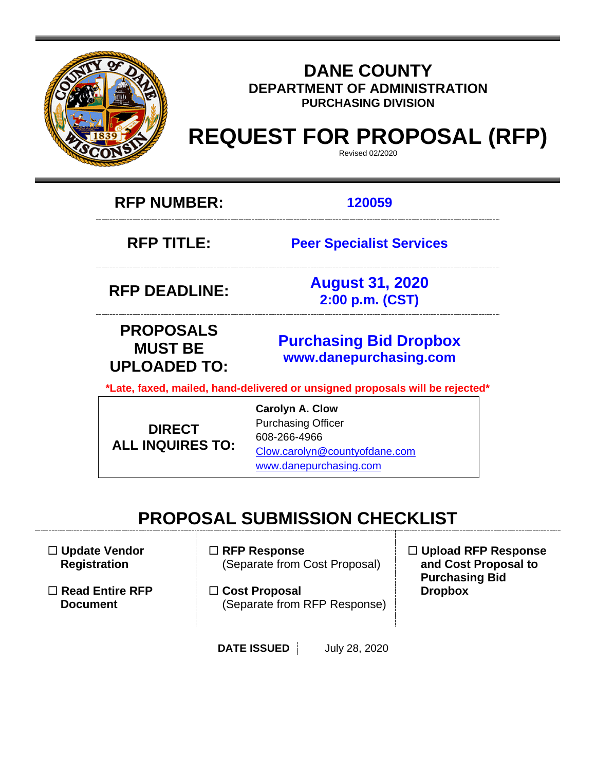

# **DANE COUNTY DEPARTMENT OF ADMINISTRATION PURCHASING DIVISION**

# **REQUEST FOR PROPOSAL (RFP)**

Revised 02/2020

**RFP NUMBER: 120059**

**RFP TITLE: Peer Specialist Services**

**RFP DEADLINE: August 31, 2020 2:00 p.m. (CST)**

**PROPOSALS MUST BE UPLOADED TO:**

**[Purchasing](mailto:BIDS@COUNTYOFDANE.COM) Bid Dropbox [www.danepurchasing.com](file://daneco.us/dfs/Department/purchasing/Shared/Forms%20&%20Templates/www.danepurchasing.com)**

**\*Late, faxed, mailed, hand-delivered or unsigned proposals will be rejected\***

**DIRECT ALL INQUIRES TO:** **Carolyn A. Clow** Purchasing Officer 608-266-4966 [Clow.carolyn@countyofdane.com](mailto:Clow.carolyn@countyofdane.com) [www.danepurchasing.com](http://www.danepurchasing.com/)

# **PROPOSAL SUBMISSION CHECKLIST**

 **Update Vendor Registration**

 **Read Entire RFP Document**

- **RFP Response** (Separate from Cost Proposal)
- **Cost Proposal**  (Separate from RFP Response)
- **Upload RFP Response and Cost Proposal to Purchasing Bid Dropbox**

**DATE ISSUED** July 28, 2020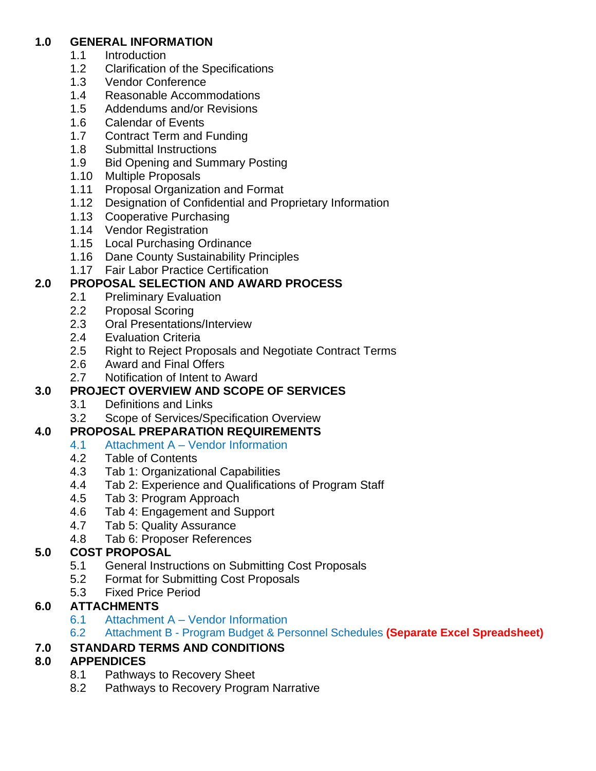# **1.0 GENERAL INFORMATION**

- 1.1 Introduction
- 1.2 Clarification of the Specifications<br>1.3 Vendor Conference
- Vendor Conference
- 1.4 Reasonable Accommodations
- 1.5 Addendums and/or Revisions
- 1.6 Calendar of Events
- 1.7 Contract Term and Funding
- 1.8 Submittal Instructions
- 1.9 Bid Opening and Summary Posting
- 1.10 Multiple Proposals
- 1.11 Proposal Organization and Format
- 1.12 Designation of Confidential and Proprietary Information
- 1.13 Cooperative Purchasing
- 1.14 Vendor Registration
- 1.15 Local Purchasing Ordinance
- 1.16 Dane County Sustainability Principles
- 1.17 Fair Labor Practice Certification

# **2.0 PROPOSAL SELECTION AND AWARD PROCESS**

- 2.1 Preliminary Evaluation
- 2.2 Proposal Scoring
- 2.3 Oral Presentations/Interview
- 2.4 Evaluation Criteria
- 2.5 Right to Reject Proposals and Negotiate Contract Terms
- 2.6 Award and Final Offers
- 2.7 Notification of Intent to Award

# **3.0 PROJECT OVERVIEW AND SCOPE OF SERVICES**

- 3.1 Definitions and Links
- 3.2 Scope of Services/Specification Overview

# **4.0 PROPOSAL PREPARATION REQUIREMENTS**

- 4.1 Attachment A Vendor Information
	- 4.2 Table of Contents
	- 4.3 Tab 1: Organizational Capabilities
	- 4.4 Tab 2: Experience and Qualifications of Program Staff
	- 4.5 Tab 3: Program Approach
	- 4.6 Tab 4: Engagement and Support
	- 4.7 Tab 5: Quality Assurance
	- 4.8 Tab 6: Proposer References

# **5.0 COST PROPOSAL**

- 5.1 General Instructions on Submitting Cost Proposals
- 5.2 Format for Submitting Cost Proposals
- 5.3 Fixed Price Period

# **6.0 ATTACHMENTS**

- 6.1 Attachment A Vendor Information
- 6.2 Attachment B Program Budget & Personnel Schedules **(Separate Excel Spreadsheet)**

# **7.0 STANDARD TERMS AND CONDITIONS**

# **8.0 APPENDICES**

- 8.1 Pathways to Recovery Sheet
- 8.2 Pathways to Recovery Program Narrative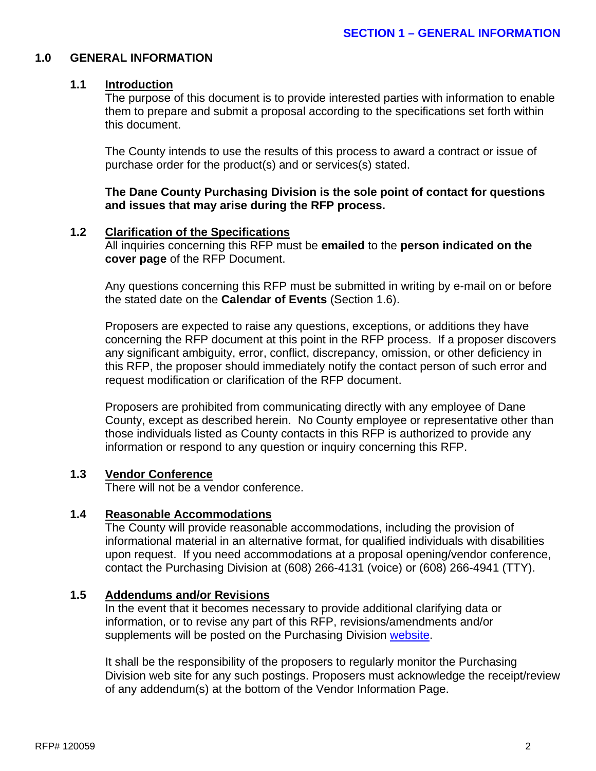#### **1.0 GENERAL INFORMATION**

#### **1.1 Introduction**

The purpose of this document is to provide interested parties with information to enable them to prepare and submit a proposal according to the specifications set forth within this document.

The County intends to use the results of this process to award a contract or issue of purchase order for the product(s) and or services(s) stated.

**The Dane County Purchasing Division is the sole point of contact for questions and issues that may arise during the RFP process.**

## **1.2 Clarification of the Specifications**

All inquiries concerning this RFP must be **emailed** to the **person indicated on the cover page** of the RFP Document.

Any questions concerning this RFP must be submitted in writing by e-mail on or before the stated date on the **Calendar of Events** (Section 1.6).

Proposers are expected to raise any questions, exceptions, or additions they have concerning the RFP document at this point in the RFP process. If a proposer discovers any significant ambiguity, error, conflict, discrepancy, omission, or other deficiency in this RFP, the proposer should immediately notify the contact person of such error and request modification or clarification of the RFP document.

Proposers are prohibited from communicating directly with any employee of Dane County, except as described herein. No County employee or representative other than those individuals listed as County contacts in this RFP is authorized to provide any information or respond to any question or inquiry concerning this RFP.

#### **1.3 Vendor Conference**

There will not be a vendor conference.

#### **1.4 Reasonable Accommodations**

The County will provide reasonable accommodations, including the provision of informational material in an alternative format, for qualified individuals with disabilities upon request. If you need accommodations at a proposal opening/vendor conference, contact the Purchasing Division at (608) 266-4131 (voice) or (608) 266-4941 (TTY).

#### **1.5 Addendums and/or Revisions**

In the event that it becomes necessary to provide additional clarifying data or information, or to revise any part of this RFP, revisions/amendments and/or supplements will be posted on the Purchasing Division [website.](http://www.danepurchasing.com/)

It shall be the responsibility of the proposers to regularly monitor the Purchasing Division web site for any such postings. Proposers must acknowledge the receipt/review of any addendum(s) at the bottom of the Vendor Information Page.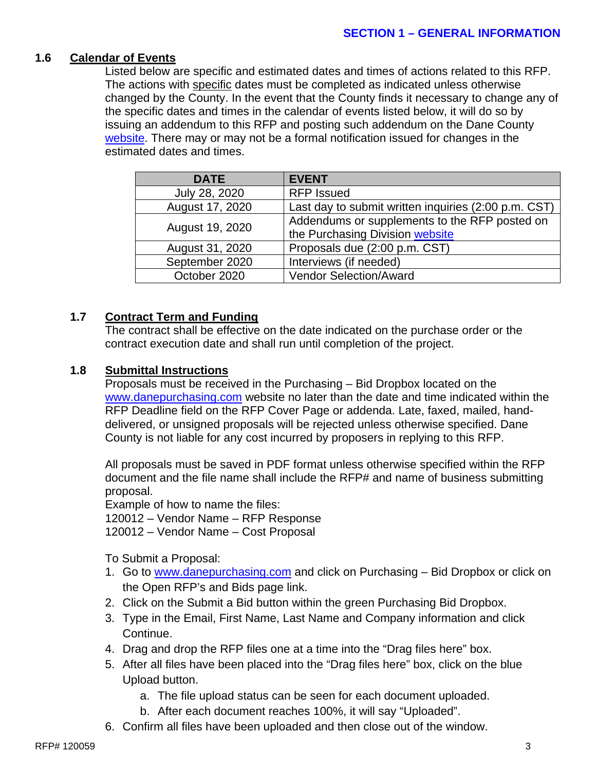#### **1.6 Calendar of Events**

Listed below are specific and estimated dates and times of actions related to this RFP. The actions with specific dates must be completed as indicated unless otherwise changed by the County. In the event that the County finds it necessary to change any of the specific dates and times in the calendar of events listed below, it will do so by issuing an addendum to this RFP and posting such addendum on the Dane County [website.](http://www.danepurchasing.com/) There may or may not be a formal notification issued for changes in the estimated dates and times.

| <b>DATE</b>     | <b>EVENT</b>                                         |
|-----------------|------------------------------------------------------|
| July 28, 2020   | <b>RFP Issued</b>                                    |
| August 17, 2020 | Last day to submit written inquiries (2:00 p.m. CST) |
|                 | Addendums or supplements to the RFP posted on        |
| August 19, 2020 | the Purchasing Division website                      |
| August 31, 2020 | Proposals due (2:00 p.m. CST)                        |
| September 2020  | Interviews (if needed)                               |
| October 2020    | <b>Vendor Selection/Award</b>                        |

## **1.7 Contract Term and Funding**

The contract shall be effective on the date indicated on the purchase order or the contract execution date and shall run until completion of the project.

#### **1.8 Submittal Instructions**

Proposals must be received in the Purchasing – Bid Dropbox located on the [www.danepurchasing.com](http://www.danepurchasing.com/) website no later than the date and time indicated within the RFP Deadline field on the RFP Cover Page or addenda. Late, faxed, mailed, handdelivered, or unsigned proposals will be rejected unless otherwise specified. Dane County is not liable for any cost incurred by proposers in replying to this RFP.

All proposals must be saved in PDF format unless otherwise specified within the RFP document and the file name shall include the RFP# and name of business submitting proposal.

Example of how to name the files:

120012 – Vendor Name – RFP Response

120012 – Vendor Name – Cost Proposal

To Submit a Proposal:

- 1. Go to [www.danepurchasing.com](http://www.danepurchasing.com/) and click on Purchasing Bid Dropbox or click on the Open RFP's and Bids page link.
- 2. Click on the Submit a Bid button within the green Purchasing Bid Dropbox.
- 3. Type in the Email, First Name, Last Name and Company information and click Continue.
- 4. Drag and drop the RFP files one at a time into the "Drag files here" box.
- 5. After all files have been placed into the "Drag files here" box, click on the blue Upload button.
	- a. The file upload status can be seen for each document uploaded.
	- b. After each document reaches 100%, it will say "Uploaded".
- 6. Confirm all files have been uploaded and then close out of the window.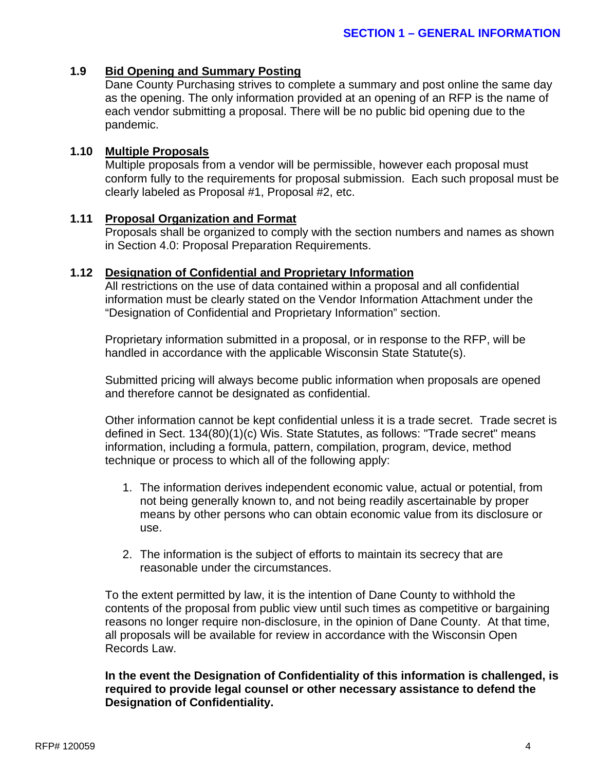#### **1.9 Bid Opening and Summary Posting**

Dane County Purchasing strives to complete a summary and post online the same day as the opening. The only information provided at an opening of an RFP is the name of each vendor submitting a proposal. There will be no public bid opening due to the pandemic.

#### **1.10 Multiple Proposals**

Multiple proposals from a vendor will be permissible, however each proposal must conform fully to the requirements for proposal submission. Each such proposal must be clearly labeled as Proposal #1, Proposal #2, etc.

#### **1.11 Proposal Organization and Format**

Proposals shall be organized to comply with the section numbers and names as shown in Section 4.0: Proposal Preparation Requirements.

#### **1.12 Designation of Confidential and Proprietary Information**

All restrictions on the use of data contained within a proposal and all confidential information must be clearly stated on the Vendor Information Attachment under the "Designation of Confidential and Proprietary Information" section.

Proprietary information submitted in a proposal, or in response to the RFP, will be handled in accordance with the applicable Wisconsin State Statute(s).

Submitted pricing will always become public information when proposals are opened and therefore cannot be designated as confidential.

Other information cannot be kept confidential unless it is a trade secret. Trade secret is defined in Sect. 134(80)(1)(c) Wis. State Statutes, as follows: "Trade secret" means information, including a formula, pattern, compilation, program, device, method technique or process to which all of the following apply:

- 1. The information derives independent economic value, actual or potential, from not being generally known to, and not being readily ascertainable by proper means by other persons who can obtain economic value from its disclosure or use.
- 2. The information is the subject of efforts to maintain its secrecy that are reasonable under the circumstances.

To the extent permitted by law, it is the intention of Dane County to withhold the contents of the proposal from public view until such times as competitive or bargaining reasons no longer require non-disclosure, in the opinion of Dane County. At that time, all proposals will be available for review in accordance with the Wisconsin Open Records Law.

## **In the event the Designation of Confidentiality of this information is challenged, is required to provide legal counsel or other necessary assistance to defend the Designation of Confidentiality.**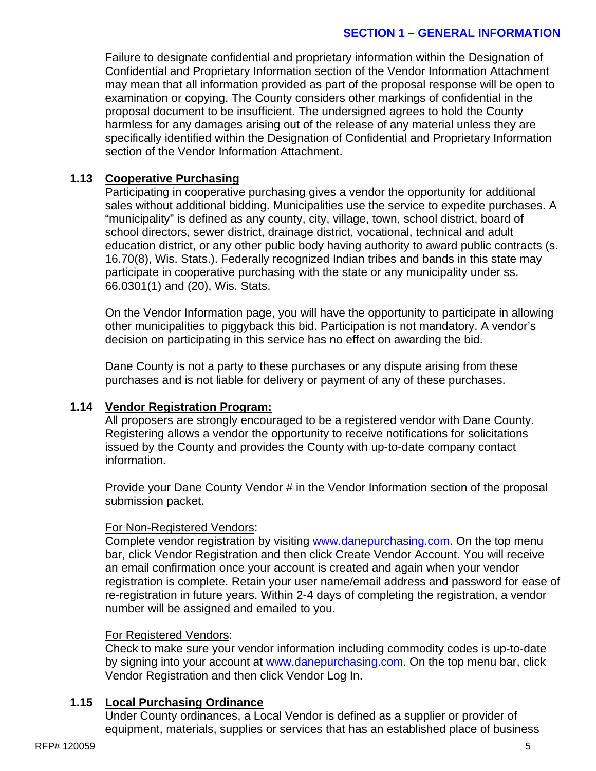#### **SECTION 1 – GENERAL INFORMATION**

Failure to designate confidential and proprietary information within the Designation of Confidential and Proprietary Information section of the Vendor Information Attachment may mean that all information provided as part of the proposal response will be open to examination or copying. The County considers other markings of confidential in the proposal document to be insufficient. The undersigned agrees to hold the County harmless for any damages arising out of the release of any material unless they are specifically identified within the Designation of Confidential and Proprietary Information section of the Vendor Information Attachment.

#### **1.13 Cooperative Purchasing**

Participating in cooperative purchasing gives a vendor the opportunity for additional sales without additional bidding. Municipalities use the service to expedite purchases. A "municipality" is defined as any county, city, village, town, school district, board of school directors, sewer district, drainage district, vocational, technical and adult education district, or any other public body having authority to award public contracts (s. 16.70(8), Wis. Stats.). Federally recognized Indian tribes and bands in this state may participate in cooperative purchasing with the state or any municipality under ss. 66.0301(1) and (20), Wis. Stats.

On the Vendor Information page, you will have the opportunity to participate in allowing other municipalities to piggyback this bid. Participation is not mandatory. A vendor's decision on participating in this service has no effect on awarding the bid.

Dane County is not a party to these purchases or any dispute arising from these purchases and is not liable for delivery or payment of any of these purchases.

#### **1.14 Vendor Registration Program:**

All proposers are strongly encouraged to be a registered vendor with Dane County. Registering allows a vendor the opportunity to receive notifications for solicitations issued by the County and provides the County with up-to-date company contact information.

Provide your Dane County Vendor # in the Vendor Information section of the proposal submission packet.

## For Non-Registered Vendors:

Complete vendor registration by visiting [www.danepurchasing.com.](http://www.danepurchasing.com/) On the top menu bar, click Vendor Registration and then click Create Vendor Account. You will receive an email confirmation once your account is created and again when your vendor registration is complete. Retain your user name/email address and password for ease of re-registration in future years. Within 2-4 days of completing the registration, a vendor number will be assigned and emailed to you.

#### For Registered Vendors:

Check to make sure your vendor information including commodity codes is up-to-date by signing into your account at [www.danepurchasing.com.](http://www.danepurchasing.com/) On the top menu bar, click Vendor Registration and then click Vendor Log In.

## **1.15 Local Purchasing Ordinance**

Under County ordinances, a Local Vendor is defined as a supplier or provider of equipment, materials, supplies or services that has an established place of business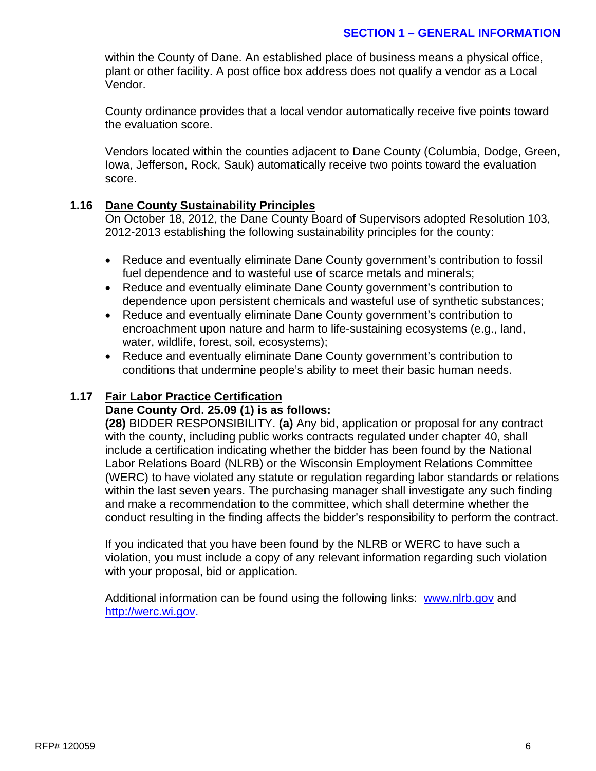## **SECTION 1 – GENERAL INFORMATION**

within the County of Dane. An established place of business means a physical office, plant or other facility. A post office box address does not qualify a vendor as a Local Vendor.

County ordinance provides that a local vendor automatically receive five points toward the evaluation score.

Vendors located within the counties adjacent to Dane County (Columbia, Dodge, Green, Iowa, Jefferson, Rock, Sauk) automatically receive two points toward the evaluation score.

#### **1.16 Dane County Sustainability Principles**

On October 18, 2012, the Dane County Board of Supervisors adopted Resolution 103, 2012-2013 establishing the following sustainability principles for the county:

- Reduce and eventually eliminate Dane County government's contribution to fossil fuel dependence and to wasteful use of scarce metals and minerals;
- Reduce and eventually eliminate Dane County government's contribution to dependence upon persistent chemicals and wasteful use of synthetic substances;
- Reduce and eventually eliminate Dane County government's contribution to encroachment upon nature and harm to life-sustaining ecosystems (e.g., land, water, wildlife, forest, soil, ecosystems);
- Reduce and eventually eliminate Dane County government's contribution to conditions that undermine people's ability to meet their basic human needs.

## **1.17 Fair Labor Practice Certification**

#### **Dane County Ord. 25.09 (1) is as follows:**

**(28)** BIDDER RESPONSIBILITY. **(a)** Any bid, application or proposal for any contract with the county, including public works contracts regulated under chapter 40, shall include a certification indicating whether the bidder has been found by the National Labor Relations Board (NLRB) or the Wisconsin Employment Relations Committee (WERC) to have violated any statute or regulation regarding labor standards or relations within the last seven years. The purchasing manager shall investigate any such finding and make a recommendation to the committee, which shall determine whether the conduct resulting in the finding affects the bidder's responsibility to perform the contract.

If you indicated that you have been found by the NLRB or WERC to have such a violation, you must include a copy of any relevant information regarding such violation with your proposal, bid or application.

Additional information can be found using the following links:[www.nlrb.gov](http://www.nlrb.gov/) and [http://werc.wi.gov.](http://werc.wi.gov/)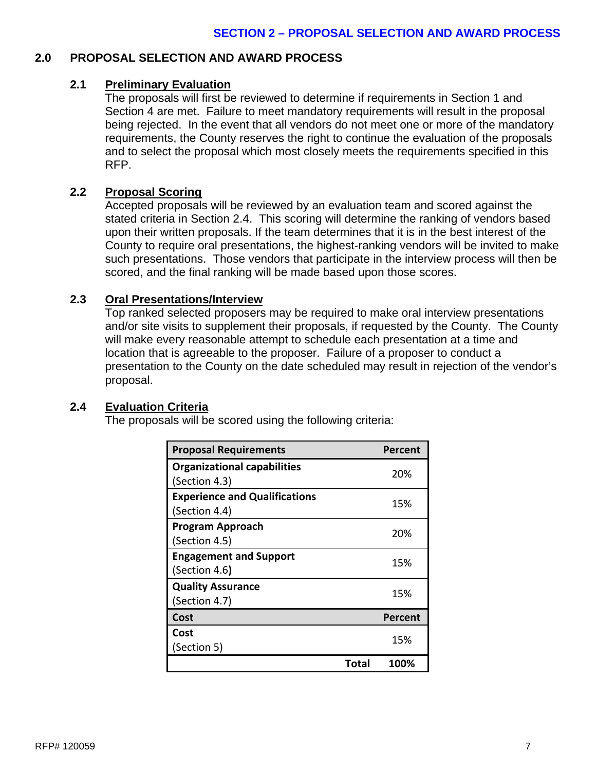## **2.0 PROPOSAL SELECTION AND AWARD PROCESS**

## **2.1 Preliminary Evaluation**

The proposals will first be reviewed to determine if requirements in Section 1 and Section 4 are met. Failure to meet mandatory requirements will result in the proposal being rejected. In the event that all vendors do not meet one or more of the mandatory requirements, the County reserves the right to continue the evaluation of the proposals and to select the proposal which most closely meets the requirements specified in this RFP.

## **2.2 Proposal Scoring**

Accepted proposals will be reviewed by an evaluation team and scored against the stated criteria in Section 2.4. This scoring will determine the ranking of vendors based upon their written proposals. If the team determines that it is in the best interest of the County to require oral presentations, the highest-ranking vendors will be invited to make such presentations. Those vendors that participate in the interview process will then be scored, and the final ranking will be made based upon those scores.

#### **2.3 Oral Presentations/Interview**

Top ranked selected proposers may be required to make oral interview presentations and/or site visits to supplement their proposals, if requested by the County. The County will make every reasonable attempt to schedule each presentation at a time and location that is agreeable to the proposer. Failure of a proposer to conduct a presentation to the County on the date scheduled may result in rejection of the vendor's proposal.

#### **2.4 Evaluation Criteria**

The proposals will be scored using the following criteria:

| <b>Proposal Requirements</b>         |       | Percent |
|--------------------------------------|-------|---------|
| <b>Organizational capabilities</b>   |       | 20%     |
| (Section 4.3)                        |       |         |
| <b>Experience and Qualifications</b> |       | 15%     |
| (Section 4.4)                        |       |         |
| <b>Program Approach</b>              |       | 20%     |
| (Section 4.5)                        |       |         |
| <b>Engagement and Support</b>        |       | 15%     |
| (Section 4.6)                        |       |         |
| <b>Quality Assurance</b>             |       |         |
| (Section 4.7)                        |       | 15%     |
| Cost                                 |       | Percent |
| Cost                                 |       |         |
| (Section 5)                          |       | 15%     |
|                                      | Total | 100%    |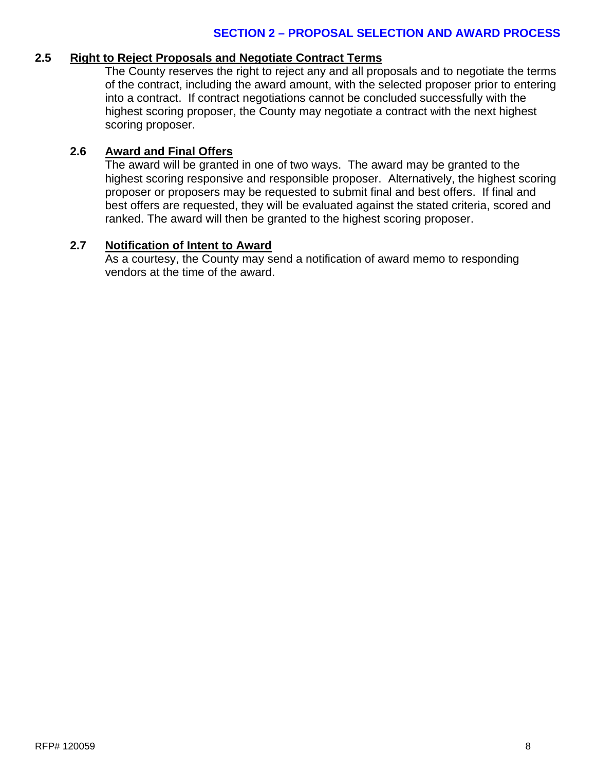#### **SECTION 2 – PROPOSAL SELECTION AND AWARD PROCESS**

#### **2.5 Right to Reject Proposals and Negotiate Contract Terms**

The County reserves the right to reject any and all proposals and to negotiate the terms of the contract, including the award amount, with the selected proposer prior to entering into a contract. If contract negotiations cannot be concluded successfully with the highest scoring proposer, the County may negotiate a contract with the next highest scoring proposer.

# **2.6 Award and Final Offers**

The award will be granted in one of two ways. The award may be granted to the highest scoring responsive and responsible proposer. Alternatively, the highest scoring proposer or proposers may be requested to submit final and best offers. If final and best offers are requested, they will be evaluated against the stated criteria, scored and ranked. The award will then be granted to the highest scoring proposer.

#### **2.7 Notification of Intent to Award**

As a courtesy, the County may send a notification of award memo to responding vendors at the time of the award.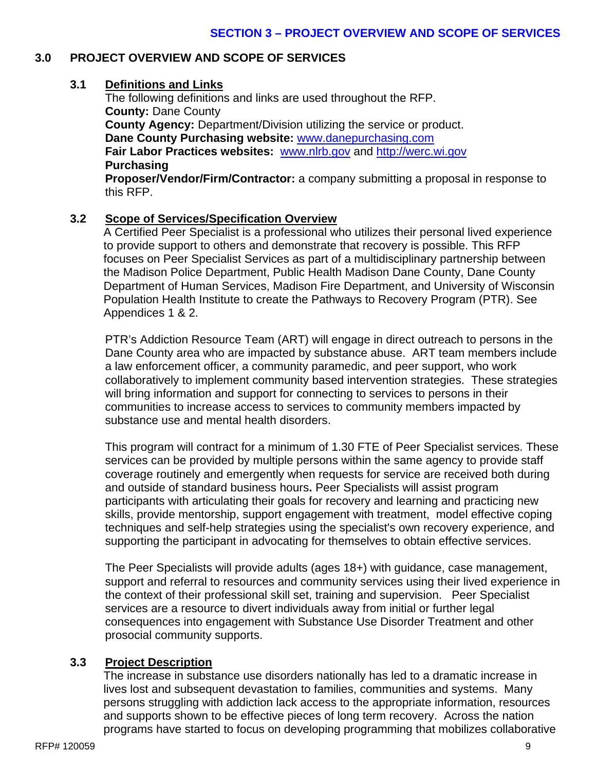# **3.0 PROJECT OVERVIEW AND SCOPE OF SERVICES**

# **3.1 Definitions and Links**

The following definitions and links are used throughout the RFP. **County:** Dane County **County Agency:** Department/Division utilizing the service or product. **Dane County Purchasing website:** [www.danepurchasing.com](http://www.danepurchasing.com/) **Fair Labor Practices websites:** [www.nlrb.gov](http://www.nlrb.gov/) and [http://werc.wi.gov](http://werc.wi.gov/) **Purchasing**

**Proposer/Vendor/Firm/Contractor:** a company submitting a proposal in response to this RFP.

# **3.2 Scope of Services/Specification Overview**

A Certified Peer Specialist is a professional who utilizes their personal lived experience to provide support to others and demonstrate that recovery is possible. This RFP focuses on Peer Specialist Services as part of a multidisciplinary partnership between the Madison Police Department, Public Health Madison Dane County, Dane County Department of Human Services, Madison Fire Department, and University of Wisconsin Population Health Institute to create the Pathways to Recovery Program (PTR). See Appendices 1 & 2.

PTR's Addiction Resource Team (ART) will engage in direct outreach to persons in the Dane County area who are impacted by substance abuse. ART team members include a law enforcement officer, a community paramedic, and peer support, who work collaboratively to implement community based intervention strategies. These strategies will bring information and support for connecting to services to persons in their communities to increase access to services to community members impacted by substance use and mental health disorders.

This program will contract for a minimum of 1.30 FTE of Peer Specialist services. These services can be provided by multiple persons within the same agency to provide staff coverage routinely and emergently when requests for service are received both during and outside of standard business hours**.** Peer Specialists will assist program participants with articulating their goals for recovery and learning and practicing new skills, provide mentorship, support engagement with treatment, model effective [coping](https://en.wikipedia.org/wiki/Coping_skills)  [techniques](https://en.wikipedia.org/wiki/Coping_skills) and [self-help](https://en.wikipedia.org/wiki/Self-help) strategies using the specialist's own recovery experience, and supporting the participant in [advocating](https://en.wikipedia.org/wiki/Self-advocacy) for themselves to obtain effective services.

The Peer Specialists will provide adults (ages 18+) with guidance, case management, support and referral to resources and community services using their lived experience in the context of their professional skill set, training and supervision. Peer Specialist services are a resource to divert individuals away from initial or further legal consequences into engagement with Substance Use Disorder Treatment and other prosocial community supports.

# **3.3 Project Description**

The increase in substance use disorders nationally has led to a dramatic increase in lives lost and subsequent devastation to families, communities and systems. Many persons struggling with addiction lack access to the appropriate information, resources and supports shown to be effective pieces of long term recovery. Across the nation programs have started to focus on developing programming that mobilizes collaborative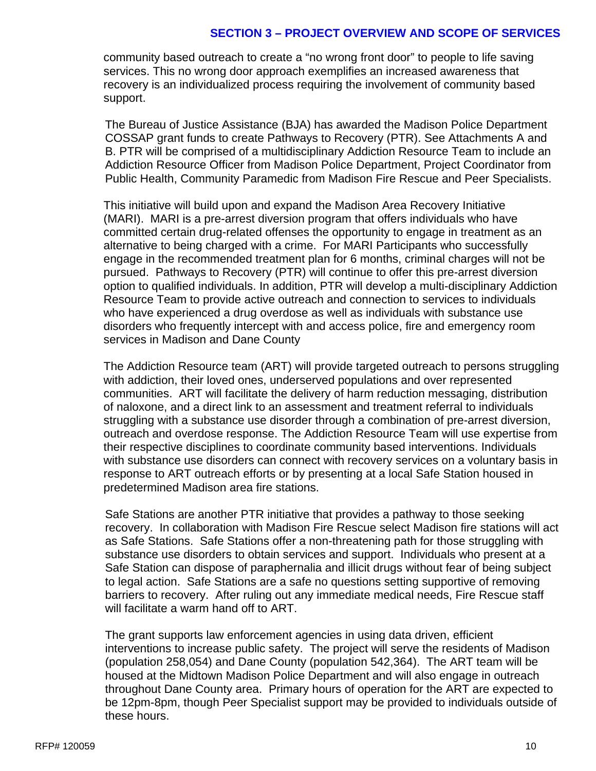#### **SECTION 3 – PROJECT OVERVIEW AND SCOPE OF SERVICES**

community based outreach to create a "no wrong front door" to people to life saving services. This no wrong door approach exemplifies an increased awareness that recovery is an individualized process requiring the involvement of community based support.

The Bureau of Justice Assistance (BJA) has awarded the Madison Police Department COSSAP grant funds to create Pathways to Recovery (PTR). See Attachments A and B. PTR will be comprised of a multidisciplinary Addiction Resource Team to include an Addiction Resource Officer from Madison Police Department, Project Coordinator from Public Health, Community Paramedic from Madison Fire Rescue and Peer Specialists.

This initiative will build upon and expand the Madison Area Recovery Initiative (MARI). MARI is a pre-arrest diversion program that offers individuals who have committed certain drug-related offenses the opportunity to engage in treatment as an alternative to being charged with a crime. For MARI Participants who successfully engage in the recommended treatment plan for 6 months, criminal charges will not be pursued. Pathways to Recovery (PTR) will continue to offer this pre-arrest diversion option to qualified individuals. In addition, PTR will develop a multi-disciplinary Addiction Resource Team to provide active outreach and connection to services to individuals who have experienced a drug overdose as well as individuals with substance use disorders who frequently intercept with and access police, fire and emergency room services in Madison and Dane County

The Addiction Resource team (ART) will provide targeted outreach to persons struggling with addiction, their loved ones, underserved populations and over represented communities. ART will facilitate the delivery of harm reduction messaging, distribution of naloxone, and a direct link to an assessment and treatment referral to individuals struggling with a substance use disorder through a combination of pre-arrest diversion, outreach and overdose response. The Addiction Resource Team will use expertise from their respective disciplines to coordinate community based interventions. Individuals with substance use disorders can connect with recovery services on a voluntary basis in response to ART outreach efforts or by presenting at a local Safe Station housed in predetermined Madison area fire stations.

Safe Stations are another PTR initiative that provides a pathway to those seeking recovery. In collaboration with Madison Fire Rescue select Madison fire stations will act as Safe Stations. Safe Stations offer a non-threatening path for those struggling with substance use disorders to obtain services and support. Individuals who present at a Safe Station can dispose of paraphernalia and illicit drugs without fear of being subject to legal action. Safe Stations are a safe no questions setting supportive of removing barriers to recovery. After ruling out any immediate medical needs, Fire Rescue staff will facilitate a warm hand off to ART.

The grant supports law enforcement agencies in using data driven, efficient interventions to increase public safety. The project will serve the residents of Madison (population 258,054) and Dane County (population 542,364). The ART team will be housed at the Midtown Madison Police Department and will also engage in outreach throughout Dane County area. Primary hours of operation for the ART are expected to be 12pm-8pm, though Peer Specialist support may be provided to individuals outside of these hours.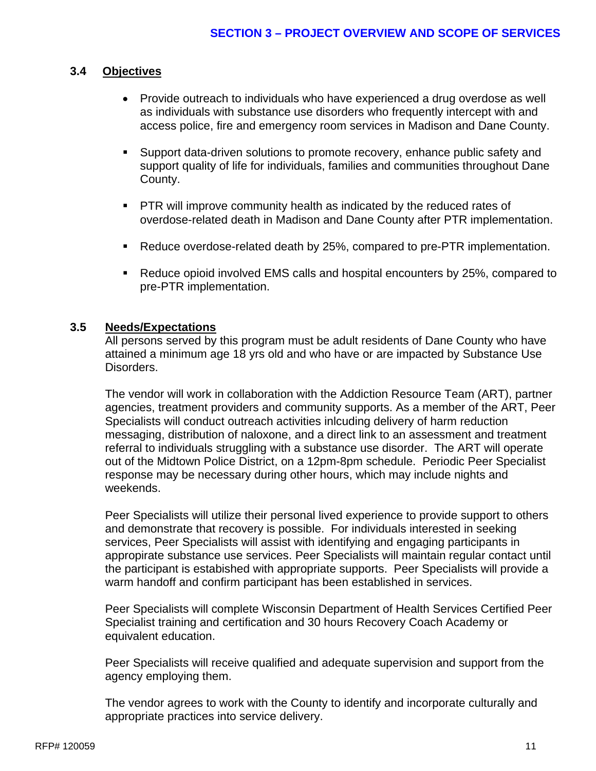# **3.4 Objectives**

- Provide outreach to individuals who have experienced a drug overdose as well as individuals with substance use disorders who frequently intercept with and access police, fire and emergency room services in Madison and Dane County.
- Support data-driven solutions to promote recovery, enhance public safety and support quality of life for individuals, families and communities throughout Dane County.
- **PTR will improve community health as indicated by the reduced rates of** overdose-related death in Madison and Dane County after PTR implementation.
- Reduce overdose-related death by 25%, compared to pre-PTR implementation.
- Reduce opioid involved EMS calls and hospital encounters by 25%, compared to pre-PTR implementation.

## **3.5 Needs/Expectations**

All persons served by this program must be adult residents of Dane County who have attained a minimum age 18 yrs old and who have or are impacted by Substance Use Disorders.

The vendor will work in collaboration with the Addiction Resource Team (ART), partner agencies, treatment providers and community supports. As a member of the ART, Peer Specialists will conduct outreach activities inlcuding delivery of harm reduction messaging, distribution of naloxone, and a direct link to an assessment and treatment referral to individuals struggling with a substance use disorder. The ART will operate out of the Midtown Police District, on a 12pm-8pm schedule. Periodic Peer Specialist response may be necessary during other hours, which may include nights and weekends.

Peer Specialists will utilize their personal lived experience to provide support to others and demonstrate that recovery is possible. For individuals interested in seeking services, Peer Specialists will assist with identifying and engaging participants in appropirate substance use services. Peer Specialists will maintain regular contact until the participant is estabished with appropriate supports. Peer Specialists will provide a warm handoff and confirm participant has been established in services.

Peer Specialists will complete Wisconsin Department of Health Services Certified Peer Specialist training and certification and 30 hours Recovery Coach Academy or equivalent education.

Peer Specialists will receive qualified and adequate supervision and support from the agency employing them.

The vendor agrees to work with the County to identify and incorporate culturally and appropriate practices into service delivery.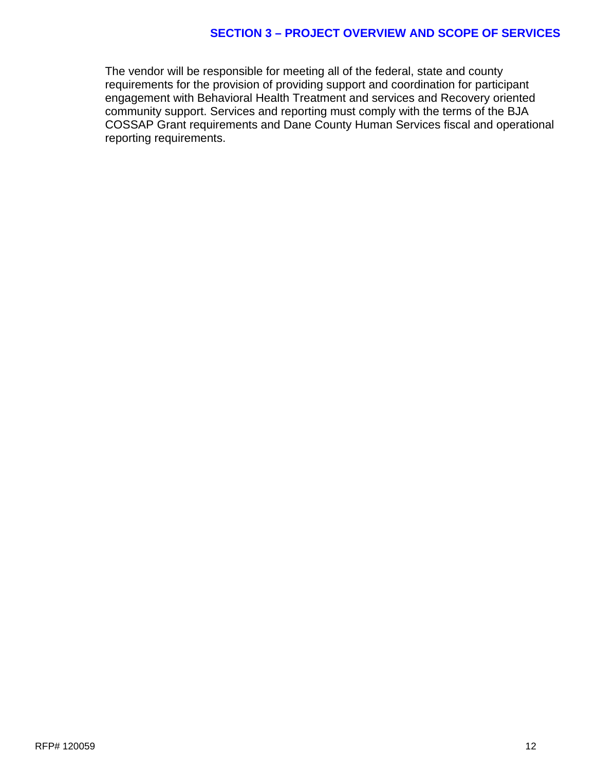#### **SECTION 3 – PROJECT OVERVIEW AND SCOPE OF SERVICES**

The vendor will be responsible for meeting all of the federal, state and county requirements for the provision of providing support and coordination for participant engagement with Behavioral Health Treatment and services and Recovery oriented community support. Services and reporting must comply with the terms of the BJA COSSAP Grant requirements and Dane County Human Services fiscal and operational reporting requirements.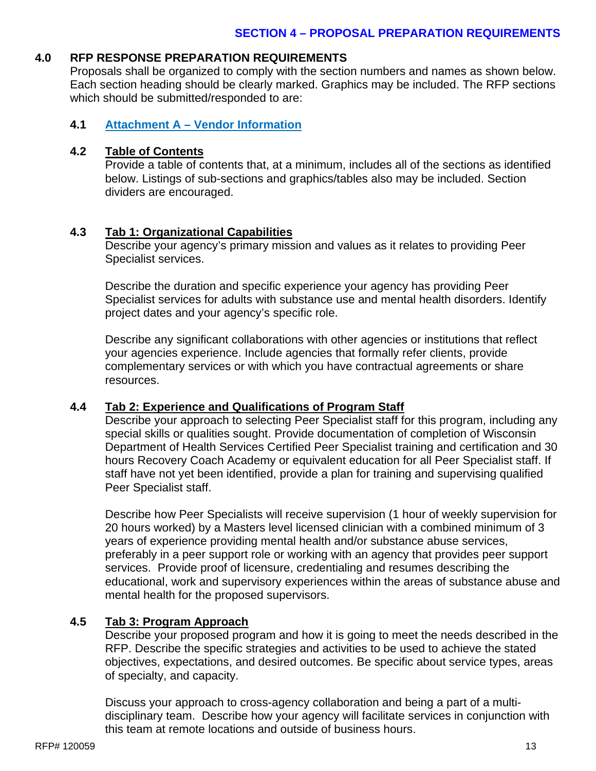# **4.0 RFP RESPONSE PREPARATION REQUIREMENTS**

Proposals shall be organized to comply with the section numbers and names as shown below. Each section heading should be clearly marked. Graphics may be included. The RFP sections which should be submitted/responded to are:

# **4.1 Attachment A – Vendor Information**

# **4.2 Table of Contents**

Provide a table of contents that, at a minimum, includes all of the sections as identified below. Listings of sub-sections and graphics/tables also may be included. Section dividers are encouraged.

# **4.3 Tab 1: Organizational Capabilities**

Describe your agency's primary mission and values as it relates to providing Peer Specialist services.

Describe the duration and specific experience your agency has providing Peer Specialist services for adults with substance use and mental health disorders. Identify project dates and your agency's specific role.

Describe any significant collaborations with other agencies or institutions that reflect your agencies experience. Include agencies that formally refer clients, provide complementary services or with which you have contractual agreements or share resources.

## **4.4 Tab 2: Experience and Qualifications of Program Staff**

Describe your approach to selecting Peer Specialist staff for this program, including any special skills or qualities sought. Provide documentation of completion of Wisconsin Department of Health Services Certified Peer Specialist training and certification and 30 hours Recovery Coach Academy or equivalent education for all Peer Specialist staff. If staff have not yet been identified, provide a plan for training and supervising qualified Peer Specialist staff.

Describe how Peer Specialists will receive supervision (1 hour of weekly supervision for 20 hours worked) by a Masters level licensed clinician with a combined minimum of 3 years of experience providing mental health and/or substance abuse services, preferably in a peer support role or working with an agency that provides peer support services. Provide proof of licensure, credentialing and resumes describing the educational, work and supervisory experiences within the areas of substance abuse and mental health for the proposed supervisors.

# **4.5 Tab 3: Program Approach**

Describe your proposed program and how it is going to meet the needs described in the RFP. Describe the specific strategies and activities to be used to achieve the stated objectives, expectations, and desired outcomes. Be specific about service types, areas of specialty, and capacity.

Discuss your approach to cross-agency collaboration and being a part of a multidisciplinary team. Describe how your agency will facilitate services in conjunction with this team at remote locations and outside of business hours.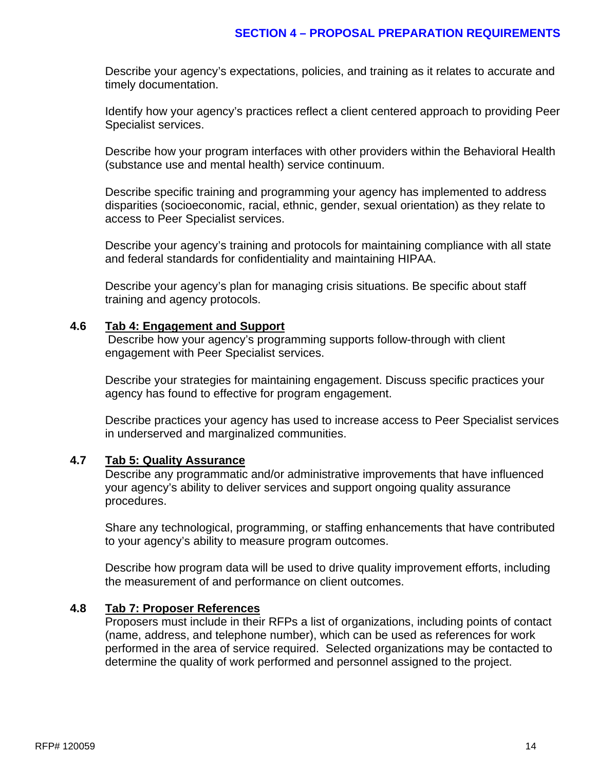Describe your agency's expectations, policies, and training as it relates to accurate and timely documentation.

Identify how your agency's practices reflect a client centered approach to providing Peer Specialist services.

Describe how your program interfaces with other providers within the Behavioral Health (substance use and mental health) service continuum.

Describe specific training and programming your agency has implemented to address disparities (socioeconomic, racial, ethnic, gender, sexual orientation) as they relate to access to Peer Specialist services.

Describe your agency's training and protocols for maintaining compliance with all state and federal standards for confidentiality and maintaining HIPAA.

Describe your agency's plan for managing crisis situations. Be specific about staff training and agency protocols.

#### **4.6 Tab 4: Engagement and Support**

Describe how your agency's programming supports follow-through with client engagement with Peer Specialist services.

Describe your strategies for maintaining engagement. Discuss specific practices your agency has found to effective for program engagement.

Describe practices your agency has used to increase access to Peer Specialist services in underserved and marginalized communities.

## **4.7 Tab 5: Quality Assurance**

Describe any programmatic and/or administrative improvements that have influenced your agency's ability to deliver services and support ongoing quality assurance procedures.

Share any technological, programming, or staffing enhancements that have contributed to your agency's ability to measure program outcomes.

Describe how program data will be used to drive quality improvement efforts, including the measurement of and performance on client outcomes.

#### **4.8 Tab 7: Proposer References**

Proposers must include in their RFPs a list of organizations, including points of contact (name, address, and telephone number), which can be used as references for work performed in the area of service required. Selected organizations may be contacted to determine the quality of work performed and personnel assigned to the project.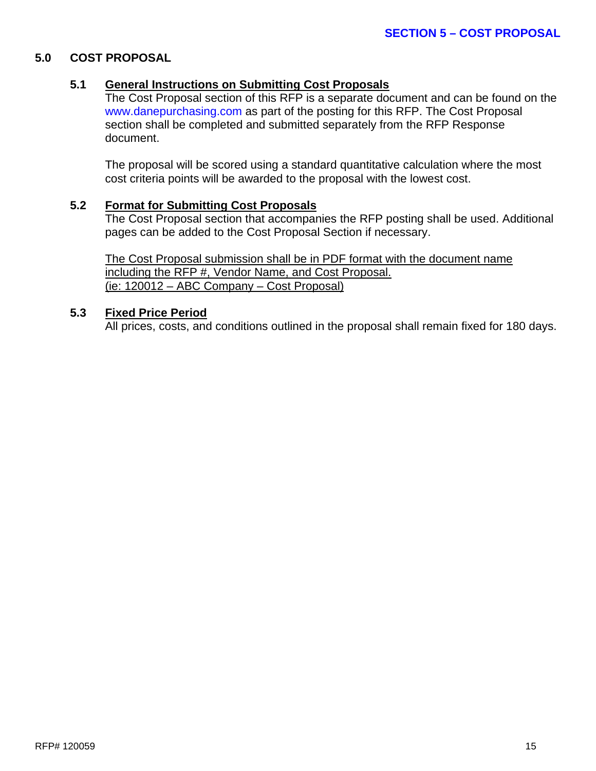#### **5.0 COST PROPOSAL**

#### **5.1 General Instructions on Submitting Cost Proposals**

The Cost Proposal section of this RFP is a separate document and can be found on the [www.danepurchasing.com](http://www.danepurchasing.com/) as part of the posting for this RFP. The Cost Proposal section shall be completed and submitted separately from the RFP Response document.

The proposal will be scored using a standard quantitative calculation where the most cost criteria points will be awarded to the proposal with the lowest cost.

#### **5.2 Format for Submitting Cost Proposals**

The Cost Proposal section that accompanies the RFP posting shall be used. Additional pages can be added to the Cost Proposal Section if necessary.

The Cost Proposal submission shall be in PDF format with the document name including the RFP #, Vendor Name, and Cost Proposal. (ie: 120012 – ABC Company – Cost Proposal)

#### **5.3 Fixed Price Period**

All prices, costs, and conditions outlined in the proposal shall remain fixed for 180 days.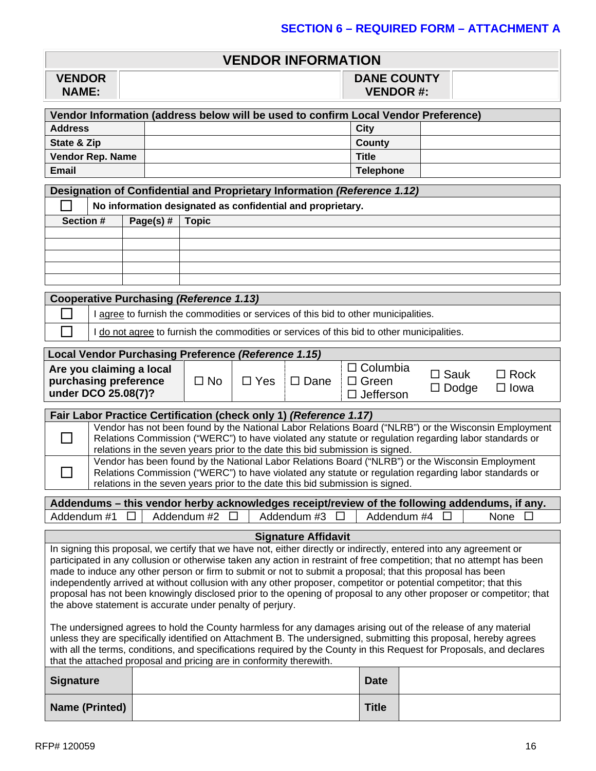|  | VENDOR INFORMATION |
|--|--------------------|
|--|--------------------|

| <b>VENDOR</b> |  |
|---------------|--|
| <b>NAME:</b>  |  |

**DANE COUNTY VENDOR #:**

| Vendor Information (address below will be used to confirm Local Vendor Preference) |  |                  |  |  |  |
|------------------------------------------------------------------------------------|--|------------------|--|--|--|
| <b>Address</b>                                                                     |  | City             |  |  |  |
| State & Zip                                                                        |  | County           |  |  |  |
| <b>Vendor Rep. Name</b>                                                            |  | <b>Title</b>     |  |  |  |
| <b>Email</b>                                                                       |  | <b>Telephone</b> |  |  |  |

|           | Designation of Confidential and Proprietary Information (Reference 1.12) |           |              |  |  |  |  |
|-----------|--------------------------------------------------------------------------|-----------|--------------|--|--|--|--|
|           | No information designated as confidential and proprietary.               |           |              |  |  |  |  |
| Section # |                                                                          | Page(s) # | <b>Topic</b> |  |  |  |  |
|           |                                                                          |           |              |  |  |  |  |
|           |                                                                          |           |              |  |  |  |  |
|           |                                                                          |           |              |  |  |  |  |
|           |                                                                          |           |              |  |  |  |  |
|           |                                                                          |           |              |  |  |  |  |
|           |                                                                          |           |              |  |  |  |  |

| Cooperative Purchasing (Reference 1.13) |                                                                                            |  |  |  |  |
|-----------------------------------------|--------------------------------------------------------------------------------------------|--|--|--|--|
|                                         | agree to furnish the commodities or services of this bid to other municipalities.          |  |  |  |  |
|                                         | I do not agree to furnish the commodities or services of this bid to other municipalities. |  |  |  |  |

|  |  | Local Vendor Purchasing Preference (Reference 1.15) |  |  |
|--|--|-----------------------------------------------------|--|--|
|  |  |                                                     |  |  |

| Are you claiming a local                     |           |               |                     | $\Box$ Columbia               | $\square$ Sauk | $\Box$ Rock |  |
|----------------------------------------------|-----------|---------------|---------------------|-------------------------------|----------------|-------------|--|
| purchasing preference<br>under DCO 25.08(7)? | $\Box$ No | $\square$ Yes | <sup>i</sup> □ Dane | ∣ □ Green<br>$\Box$ Jefferson | $\Box$ Dodge   | $\Box$ lowa |  |

| Fair Labor Practice Certification (check only 1) (Reference 1.17)        |  |  |
|--------------------------------------------------------------------------|--|--|
| Nonder has not been found by the National Labor Polations Reard ("NILDR" |  |  |

| Vendor has not been found by the National Labor Relations Board ("NLRB") or the Wisconsin Employment<br>Relations Commission ("WERC") to have violated any statute or regulation regarding labor standards or<br>relations in the seven years prior to the date this bid submission is signed. |
|------------------------------------------------------------------------------------------------------------------------------------------------------------------------------------------------------------------------------------------------------------------------------------------------|
| Vendor has been found by the National Labor Relations Board ("NLRB") or the Wisconsin Employment<br>Relations Commission ("WERC") to have violated any statute or regulation regarding labor standards or<br>relations in the seven years prior to the date this bid submission is signed.     |

| Addendums – this vendor herby acknowledges receipt/review of the following addendums, if any. |               |               |                    |        |  |  |
|-----------------------------------------------------------------------------------------------|---------------|---------------|--------------------|--------|--|--|
| Addendum #1 □ I                                                                               | - Addendum #2 | – Addendum #3 | Addendum #4 $\Box$ | None I |  |  |

#### **Signature Affidavit**

In signing this proposal, we certify that we have not, either directly or indirectly, entered into any agreement or participated in any collusion or otherwise taken any action in restraint of free competition; that no attempt has been made to induce any other person or firm to submit or not to submit a proposal; that this proposal has been independently arrived at without collusion with any other proposer, competitor or potential competitor; that this proposal has not been knowingly disclosed prior to the opening of proposal to any other proposer or competitor; that the above statement is accurate under penalty of perjury.

The undersigned agrees to hold the County harmless for any damages arising out of the release of any material unless they are specifically identified on Attachment B. The undersigned, submitting this proposal, hereby agrees with all the terms, conditions, and specifications required by the County in this Request for Proposals, and declares that the attached proposal and pricing are in conformity therewith.

| Signature      | <b>Date</b>  |  |
|----------------|--------------|--|
| Name (Printed) | <b>Title</b> |  |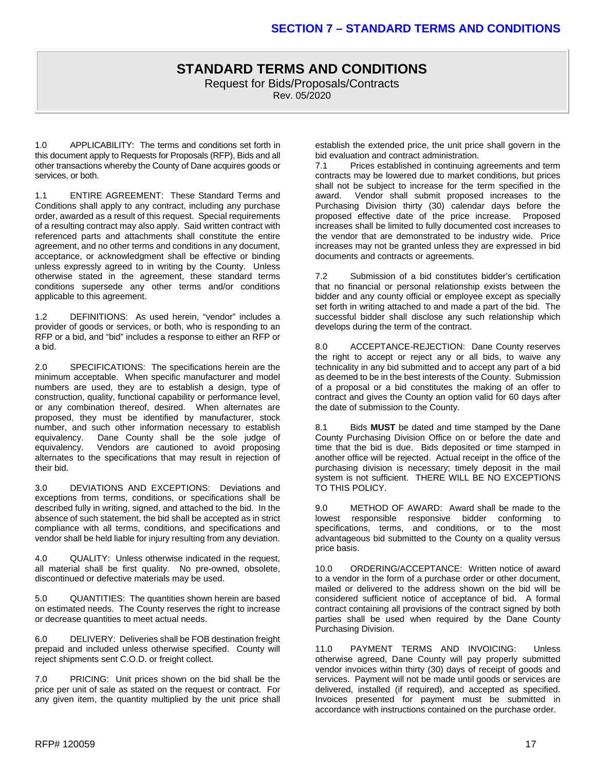#### **STANDARD TERMS AND CONDITIONS** Request for Bids/Proposals/Contracts Rev. 05/2020

1.0 APPLICABILITY: The terms and conditions set forth in this document apply to Requests for Proposals (RFP), Bids and all other transactions whereby the County of Dane acquires goods or services, or both.

1.1 ENTIRE AGREEMENT: These Standard Terms and Conditions shall apply to any contract, including any purchase order, awarded as a result of this request. Special requirements of a resulting contract may also apply. Said written contract with referenced parts and attachments shall constitute the entire agreement, and no other terms and conditions in any document, acceptance, or acknowledgment shall be effective or binding unless expressly agreed to in writing by the County. Unless otherwise stated in the agreement, these standard terms conditions supersede any other terms and/or conditions applicable to this agreement.

1.2 DEFINITIONS: As used herein, "vendor" includes a provider of goods or services, or both, who is responding to an RFP or a bid, and "bid" includes a response to either an RFP or a bid.

2.0 SPECIFICATIONS: The specifications herein are the minimum acceptable. When specific manufacturer and model numbers are used, they are to establish a design, type of construction, quality, functional capability or performance level, or any combination thereof, desired. When alternates are proposed, they must be identified by manufacturer, stock number, and such other information necessary to establish equivalency. Dane County shall be the sole judge of Dane County shall be the sole judge of equivalency. Vendors are cautioned to avoid proposing alternates to the specifications that may result in rejection of their bid.

3.0 DEVIATIONS AND EXCEPTIONS: Deviations and exceptions from terms, conditions, or specifications shall be described fully in writing, signed, and attached to the bid. In the absence of such statement, the bid shall be accepted as in strict compliance with all terms, conditions, and specifications and vendor shall be held liable for injury resulting from any deviation.

4.0 QUALITY: Unless otherwise indicated in the request, all material shall be first quality. No pre-owned, obsolete, discontinued or defective materials may be used.

5.0 QUANTITIES: The quantities shown herein are based on estimated needs. The County reserves the right to increase or decrease quantities to meet actual needs.

6.0 DELIVERY: Deliveries shall be FOB destination freight prepaid and included unless otherwise specified. County will reject shipments sent C.O.D. or freight collect.

7.0 PRICING: Unit prices shown on the bid shall be the price per unit of sale as stated on the request or contract. For any given item, the quantity multiplied by the unit price shall

establish the extended price, the unit price shall govern in the bid evaluation and contract administration.<br>7.1 Prices established in continuing a

Prices established in continuing agreements and term contracts may be lowered due to market conditions, but prices shall not be subject to increase for the term specified in the award. Vendor shall submit proposed increases to the Purchasing Division thirty (30) calendar days before the proposed effective date of the price increase. Proposed increases shall be limited to fully documented cost increases to the vendor that are demonstrated to be industry wide. Price increases may not be granted unless they are expressed in bid documents and contracts or agreements.

7.2 Submission of a bid constitutes bidder's certification that no financial or personal relationship exists between the bidder and any county official or employee except as specially set forth in writing attached to and made a part of the bid. The successful bidder shall disclose any such relationship which develops during the term of the contract.

8.0 ACCEPTANCE-REJECTION: Dane County reserves the right to accept or reject any or all bids, to waive any technicality in any bid submitted and to accept any part of a bid as deemed to be in the best interests of the County. Submission of a proposal or a bid constitutes the making of an offer to contract and gives the County an option valid for 60 days after the date of submission to the County.

8.1 Bids **MUST** be dated and time stamped by the Dane County Purchasing Division Office on or before the date and time that the bid is due. Bids deposited or time stamped in another office will be rejected. Actual receipt in the office of the purchasing division is necessary; timely deposit in the mail system is not sufficient. THERE WILL BE NO EXCEPTIONS TO THIS POLICY.

9.0 METHOD OF AWARD: Award shall be made to the lowest responsible responsive bidder conforming to specifications, terms, and conditions, or to the most advantageous bid submitted to the County on a quality versus price basis.

10.0 ORDERING/ACCEPTANCE: Written notice of award to a vendor in the form of a purchase order or other document, mailed or delivered to the address shown on the bid will be considered sufficient notice of acceptance of bid. A formal contract containing all provisions of the contract signed by both parties shall be used when required by the Dane County Purchasing Division.

11.0 PAYMENT TERMS AND INVOICING: Unless otherwise agreed, Dane County will pay properly submitted vendor invoices within thirty (30) days of receipt of goods and services. Payment will not be made until goods or services are delivered, installed (if required), and accepted as specified. Invoices presented for payment must be submitted in accordance with instructions contained on the purchase order.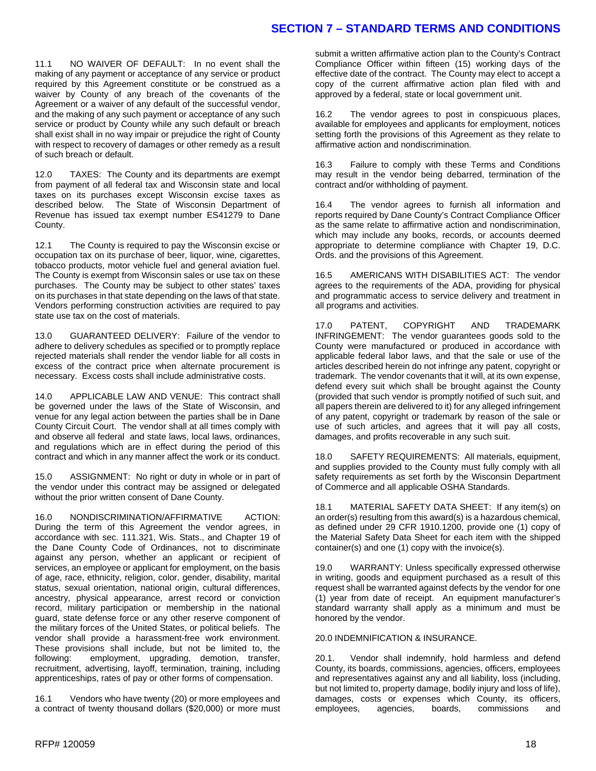# **SECTION 7 – STANDARD TERMS AND CONDITIONS**

11.1 NO WAIVER OF DEFAULT: In no event shall the making of any payment or acceptance of any service or product required by this Agreement constitute or be construed as a waiver by County of any breach of the covenants of the Agreement or a waiver of any default of the successful vendor, and the making of any such payment or acceptance of any such service or product by County while any such default or breach shall exist shall in no way impair or prejudice the right of County with respect to recovery of damages or other remedy as a result of such breach or default.

12.0 TAXES: The County and its departments are exempt from payment of all federal tax and Wisconsin state and local taxes on its purchases except Wisconsin excise taxes as described below. The State of Wisconsin Department of Revenue has issued tax exempt number ES41279 to Dane County.

12.1 The County is required to pay the Wisconsin excise or occupation tax on its purchase of beer, liquor, wine, cigarettes, tobacco products, motor vehicle fuel and general aviation fuel. The County is exempt from Wisconsin sales or use tax on these purchases. The County may be subject to other states' taxes on its purchases in that state depending on the laws of that state. Vendors performing construction activities are required to pay state use tax on the cost of materials.

13.0 GUARANTEED DELIVERY: Failure of the vendor to adhere to delivery schedules as specified or to promptly replace rejected materials shall render the vendor liable for all costs in excess of the contract price when alternate procurement is necessary. Excess costs shall include administrative costs.

14.0 APPLICABLE LAW AND VENUE: This contract shall be governed under the laws of the State of Wisconsin, and venue for any legal action between the parties shall be in Dane County Circuit Court. The vendor shall at all times comply with and observe all federal and state laws, local laws, ordinances, and regulations which are in effect during the period of this contract and which in any manner affect the work or its conduct.

15.0 ASSIGNMENT: No right or duty in whole or in part of the vendor under this contract may be assigned or delegated without the prior written consent of Dane County.

16.0 NONDISCRIMINATION/AFFIRMATIVE ACTION: During the term of this Agreement the vendor agrees, in accordance with sec. 111.321, Wis. Stats., and Chapter 19 of the Dane County Code of Ordinances, not to discriminate against any person, whether an applicant or recipient of services, an employee or applicant for employment, on the basis of age, race, ethnicity, religion, color, gender, disability, marital status, sexual orientation, national origin, cultural differences, ancestry, physical appearance, arrest record or conviction record, military participation or membership in the national guard, state defense force or any other reserve component of the military forces of the United States, or political beliefs. The vendor shall provide a harassment-free work environment. These provisions shall include, but not be limited to, the following: employment, upgrading, demotion, transfer, recruitment, advertising, layoff, termination, training, including apprenticeships, rates of pay or other forms of compensation.

16.1 Vendors who have twenty (20) or more employees and a contract of twenty thousand dollars (\$20,000) or more must submit a written affirmative action plan to the County's Contract Compliance Officer within fifteen (15) working days of the effective date of the contract. The County may elect to accept a copy of the current affirmative action plan filed with and approved by a federal, state or local government unit.

16.2 The vendor agrees to post in conspicuous places, available for employees and applicants for employment, notices setting forth the provisions of this Agreement as they relate to affirmative action and nondiscrimination.

16.3 Failure to comply with these Terms and Conditions may result in the vendor being debarred, termination of the contract and/or withholding of payment.

16.4 The vendor agrees to furnish all information and reports required by Dane County's Contract Compliance Officer as the same relate to affirmative action and nondiscrimination, which may include any books, records, or accounts deemed appropriate to determine compliance with Chapter 19, D.C. Ords. and the provisions of this Agreement.

16.5 AMERICANS WITH DISABILITIES ACT: The vendor agrees to the requirements of the ADA, providing for physical and programmatic access to service delivery and treatment in all programs and activities.

17.0 PATENT, COPYRIGHT AND TRADEMARK INFRINGEMENT: The vendor guarantees goods sold to the County were manufactured or produced in accordance with applicable federal labor laws, and that the sale or use of the articles described herein do not infringe any patent, copyright or trademark. The vendor covenants that it will, at its own expense, defend every suit which shall be brought against the County (provided that such vendor is promptly notified of such suit, and all papers therein are delivered to it) for any alleged infringement of any patent, copyright or trademark by reason of the sale or use of such articles, and agrees that it will pay all costs, damages, and profits recoverable in any such suit.

18.0 SAFETY REQUIREMENTS: All materials, equipment, and supplies provided to the County must fully comply with all safety requirements as set forth by the Wisconsin Department of Commerce and all applicable OSHA Standards.

18.1 MATERIAL SAFETY DATA SHEET: If any item(s) on an order(s) resulting from this award(s) is a hazardous chemical, as defined under 29 CFR 1910.1200, provide one (1) copy of the Material Safety Data Sheet for each item with the shipped container(s) and one (1) copy with the invoice(s).

19.0 WARRANTY: Unless specifically expressed otherwise in writing, goods and equipment purchased as a result of this request shall be warranted against defects by the vendor for one (1) year from date of receipt. An equipment manufacturer's standard warranty shall apply as a minimum and must be honored by the vendor.

20.0 INDEMNIFICATION & INSURANCE.

20.1. Vendor shall indemnify, hold harmless and defend County, its boards, commissions, agencies, officers, employees and representatives against any and all liability, loss (including, but not limited to, property damage, bodily injury and loss of life), damages, costs or expenses which County, its officers, employees, agencies, boards, commissions and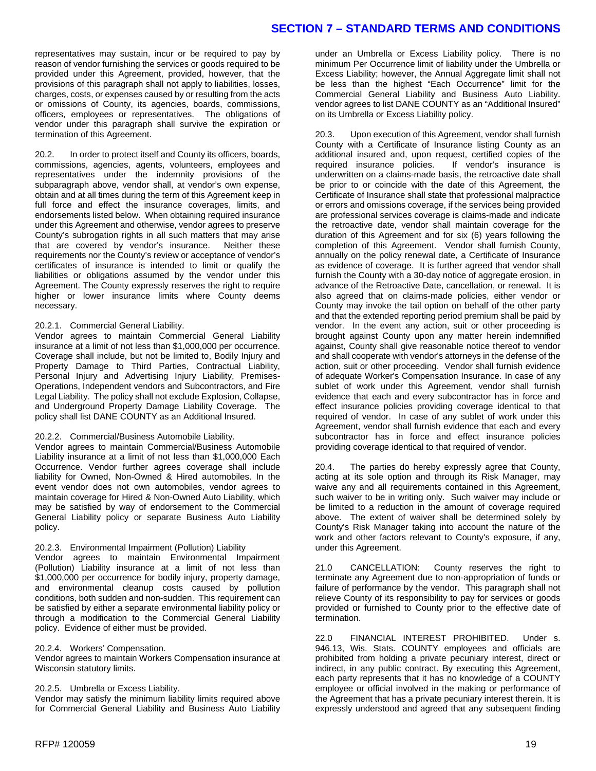## **SECTION 7 – STANDARD TERMS AND CONDITIONS**

representatives may sustain, incur or be required to pay by reason of vendor furnishing the services or goods required to be provided under this Agreement, provided, however, that the provisions of this paragraph shall not apply to liabilities, losses, charges, costs, or expenses caused by or resulting from the acts or omissions of County, its agencies, boards, commissions, officers, employees or representatives. The obligations of vendor under this paragraph shall survive the expiration or termination of this Agreement.

20.2. In order to protect itself and County its officers, boards, commissions, agencies, agents, volunteers, employees and representatives under the indemnity provisions of the subparagraph above, vendor shall, at vendor's own expense, obtain and at all times during the term of this Agreement keep in full force and effect the insurance coverages, limits, and endorsements listed below. When obtaining required insurance under this Agreement and otherwise, vendor agrees to preserve County's subrogation rights in all such matters that may arise that are covered by vendor's insurance. Neither these requirements nor the County's review or acceptance of vendor's certificates of insurance is intended to limit or qualify the liabilities or obligations assumed by the vendor under this Agreement. The County expressly reserves the right to require higher or lower insurance limits where County deems necessary.

#### 20.2.1. Commercial General Liability.

Vendor agrees to maintain Commercial General Liability insurance at a limit of not less than \$1,000,000 per occurrence. Coverage shall include, but not be limited to, Bodily Injury and Property Damage to Third Parties, Contractual Liability, Personal Injury and Advertising Injury Liability, Premises-Operations, Independent vendors and Subcontractors, and Fire Legal Liability. The policy shall not exclude Explosion, Collapse, and Underground Property Damage Liability Coverage. The policy shall list DANE COUNTY as an Additional Insured.

#### 20.2.2. Commercial/Business Automobile Liability.

Vendor agrees to maintain Commercial/Business Automobile Liability insurance at a limit of not less than \$1,000,000 Each Occurrence. Vendor further agrees coverage shall include liability for Owned, Non-Owned & Hired automobiles. In the event vendor does not own automobiles, vendor agrees to maintain coverage for Hired & Non-Owned Auto Liability, which may be satisfied by way of endorsement to the Commercial General Liability policy or separate Business Auto Liability policy.

#### 20.2.3. Environmental Impairment (Pollution) Liability

Vendor agrees to maintain Environmental Impairment (Pollution) Liability insurance at a limit of not less than \$1,000,000 per occurrence for bodily injury, property damage, and environmental cleanup costs caused by pollution conditions, both sudden and non-sudden. This requirement can be satisfied by either a separate environmental liability policy or through a modification to the Commercial General Liability policy. Evidence of either must be provided.

#### 20.2.4. Workers' Compensation.

Vendor agrees to maintain Workers Compensation insurance at Wisconsin statutory limits.

#### 20.2.5. Umbrella or Excess Liability.

Vendor may satisfy the minimum liability limits required above for Commercial General Liability and Business Auto Liability under an Umbrella or Excess Liability policy. There is no minimum Per Occurrence limit of liability under the Umbrella or Excess Liability; however, the Annual Aggregate limit shall not be less than the highest "Each Occurrence" limit for the Commercial General Liability and Business Auto Liability. vendor agrees to list DANE COUNTY as an "Additional Insured" on its Umbrella or Excess Liability policy.

20.3. Upon execution of this Agreement, vendor shall furnish County with a Certificate of Insurance listing County as an additional insured and, upon request, certified copies of the required insurance policies. If vendor's insurance is underwritten on a claims-made basis, the retroactive date shall be prior to or coincide with the date of this Agreement, the Certificate of Insurance shall state that professional malpractice or errors and omissions coverage, if the services being provided are professional services coverage is claims-made and indicate the retroactive date, vendor shall maintain coverage for the duration of this Agreement and for six (6) years following the completion of this Agreement. Vendor shall furnish County, annually on the policy renewal date, a Certificate of Insurance as evidence of coverage. It is further agreed that vendor shall furnish the County with a 30-day notice of aggregate erosion, in advance of the Retroactive Date, cancellation, or renewal. It is also agreed that on claims-made policies, either vendor or County may invoke the tail option on behalf of the other party and that the extended reporting period premium shall be paid by vendor. In the event any action, suit or other proceeding is brought against County upon any matter herein indemnified against, County shall give reasonable notice thereof to vendor and shall cooperate with vendor's attorneys in the defense of the action, suit or other proceeding. Vendor shall furnish evidence of adequate Worker's Compensation Insurance. In case of any sublet of work under this Agreement, vendor shall furnish evidence that each and every subcontractor has in force and effect insurance policies providing coverage identical to that required of vendor. In case of any sublet of work under this Agreement, vendor shall furnish evidence that each and every subcontractor has in force and effect insurance policies providing coverage identical to that required of vendor.

20.4. The parties do hereby expressly agree that County, acting at its sole option and through its Risk Manager, may waive any and all requirements contained in this Agreement, such waiver to be in writing only. Such waiver may include or be limited to a reduction in the amount of coverage required above. The extent of waiver shall be determined solely by County's Risk Manager taking into account the nature of the work and other factors relevant to County's exposure, if any, under this Agreement.

21.0 CANCELLATION: County reserves the right to terminate any Agreement due to non-appropriation of funds or failure of performance by the vendor. This paragraph shall not relieve County of its responsibility to pay for services or goods provided or furnished to County prior to the effective date of termination.

22.0 FINANCIAL INTEREST PROHIBITED. Under s. 946.13, Wis. Stats. COUNTY employees and officials are prohibited from holding a private pecuniary interest, direct or indirect, in any public contract. By executing this Agreement, each party represents that it has no knowledge of a COUNTY employee or official involved in the making or performance of the Agreement that has a private pecuniary interest therein. It is expressly understood and agreed that any subsequent finding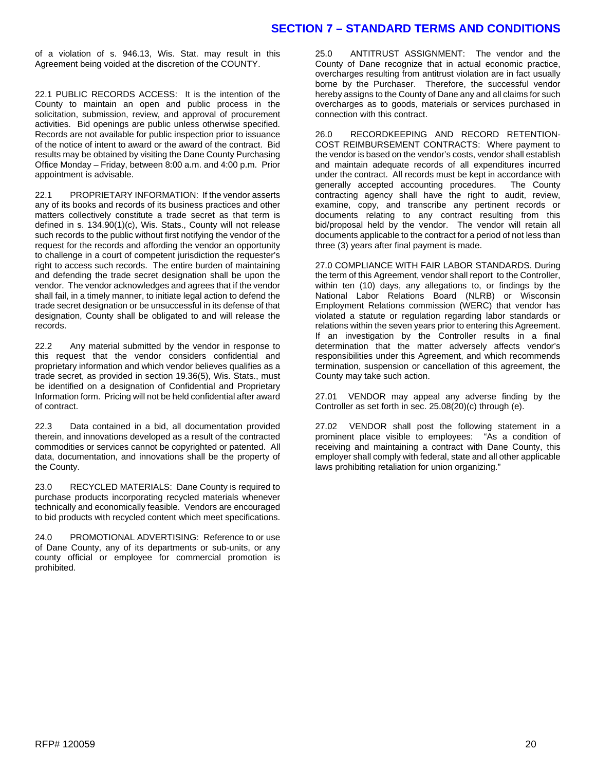#### **SECTION 7 – STANDARD TERMS AND CONDITIONS**

of a violation of s. 946.13, Wis. Stat. may result in this Agreement being voided at the discretion of the COUNTY.

22.1 PUBLIC RECORDS ACCESS: It is the intention of the County to maintain an open and public process in the solicitation, submission, review, and approval of procurement activities. Bid openings are public unless otherwise specified. Records are not available for public inspection prior to issuance of the notice of intent to award or the award of the contract. Bid results may be obtained by visiting the Dane County Purchasing Office Monday – Friday, between 8:00 a.m. and 4:00 p.m. Prior appointment is advisable.

22.1 PROPRIETARY INFORMATION: If the vendor asserts any of its books and records of its business practices and other matters collectively constitute a trade secret as that term is defined in s. 134.90(1)(c), Wis. Stats., County will not release such records to the public without first notifying the vendor of the request for the records and affording the vendor an opportunity to challenge in a court of competent jurisdiction the requester's right to access such records. The entire burden of maintaining and defending the trade secret designation shall be upon the vendor. The vendor acknowledges and agrees that if the vendor shall fail, in a timely manner, to initiate legal action to defend the trade secret designation or be unsuccessful in its defense of that designation, County shall be obligated to and will release the records.

22.2 Any material submitted by the vendor in response to this request that the vendor considers confidential and proprietary information and which vendor believes qualifies as a trade secret, as provided in section 19.36(5), Wis. Stats., must be identified on a designation of Confidential and Proprietary Information form. Pricing will not be held confidential after award of contract.

22.3 Data contained in a bid, all documentation provided therein, and innovations developed as a result of the contracted commodities or services cannot be copyrighted or patented. All data, documentation, and innovations shall be the property of the County.

23.0 RECYCLED MATERIALS: Dane County is required to purchase products incorporating recycled materials whenever technically and economically feasible. Vendors are encouraged to bid products with recycled content which meet specifications.

24.0 PROMOTIONAL ADVERTISING: Reference to or use of Dane County, any of its departments or sub-units, or any county official or employee for commercial promotion is prohibited.

25.0 ANTITRUST ASSIGNMENT: The vendor and the County of Dane recognize that in actual economic practice, overcharges resulting from antitrust violation are in fact usually borne by the Purchaser. Therefore, the successful vendor hereby assigns to the County of Dane any and all claims for such overcharges as to goods, materials or services purchased in connection with this contract.

26.0 RECORDKEEPING AND RECORD RETENTION-COST REIMBURSEMENT CONTRACTS: Where payment to the vendor is based on the vendor's costs, vendor shall establish and maintain adequate records of all expenditures incurred under the contract. All records must be kept in accordance with generally accepted accounting procedures. The County contracting agency shall have the right to audit, review, examine, copy, and transcribe any pertinent records or documents relating to any contract resulting from this bid/proposal held by the vendor. The vendor will retain all documents applicable to the contract for a period of not less than three (3) years after final payment is made.

27.0 COMPLIANCE WITH FAIR LABOR STANDARDS. During the term of this Agreement, vendor shall report to the Controller, within ten (10) days, any allegations to, or findings by the National Labor Relations Board (NLRB) or Wisconsin Employment Relations commission (WERC) that vendor has violated a statute or regulation regarding labor standards or relations within the seven years prior to entering this Agreement. If an investigation by the Controller results in a final determination that the matter adversely affects vendor's responsibilities under this Agreement, and which recommends termination, suspension or cancellation of this agreement, the County may take such action.

27.01 VENDOR may appeal any adverse finding by the Controller as set forth in sec. 25.08(20)(c) through (e).

27.02 VENDOR shall post the following statement in a prominent place visible to employees: "As a condition of receiving and maintaining a contract with Dane County, this employer shall comply with federal, state and all other applicable laws prohibiting retaliation for union organizing."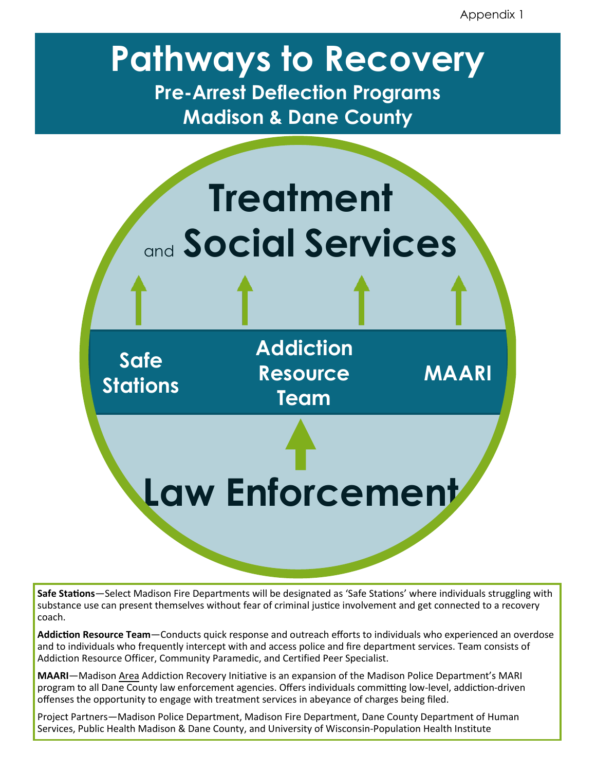Appendix 1

# **Pathways to Recovery Pre-Arrest Deflection Programs**

**Madison & Dane County**



**Safe Stations**—Select Madison Fire Departments will be designated as 'Safe Stations' where individuals struggling with substance use can present themselves without fear of criminal justice involvement and get connected to a recovery coach.

**Addiction Resource Team**—Conducts quick response and outreach efforts to individuals who experienced an overdose and to individuals who frequently intercept with and access police and fire department services. Team consists of Addiction Resource Officer, Community Paramedic, and Certified Peer Specialist.

**MAARI**—Madison Area Addiction Recovery Initiative is an expansion of the Madison Police Department's MARI program to all Dane County law enforcement agencies. Offers individuals committing low-level, addiction-driven offenses the opportunity to engage with treatment services in abeyance of charges being filed.

Project Partners—Madison Police Department, Madison Fire Department, Dane County Department of Human Services, Public Health Madison & Dane County, and University of Wisconsin-Population Health Institute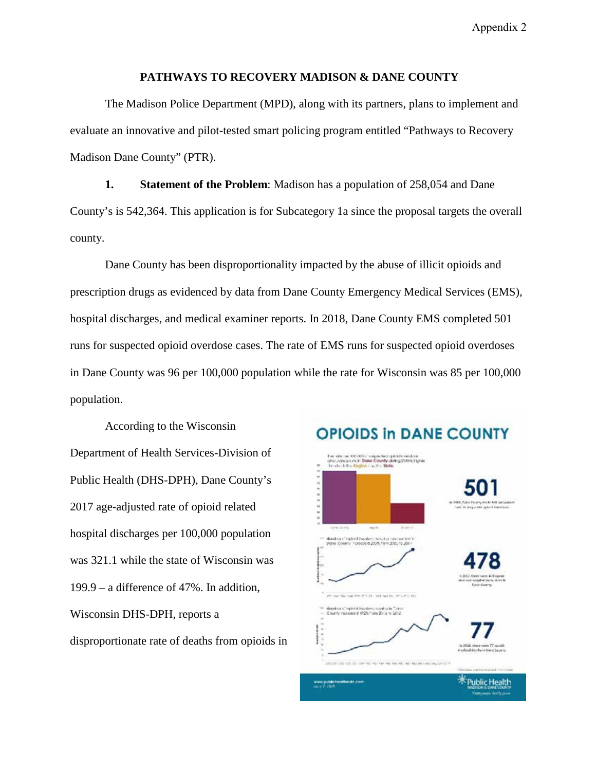Appendix 2

#### **PATHWAYS TO RECOVERY MADISON & DANE COUNTY**

The Madison Police Department (MPD), along with its partners, plans to implement and evaluate an innovative and pilot-tested smart policing program entitled "Pathways to Recovery Madison Dane County" (PTR).

**1. Statement of the Problem**: Madison has a population of 258,054 and Dane County's is 542,364. This application is for Subcategory 1a since the proposal targets the overall county.

Dane County has been disproportionality impacted by the abuse of illicit opioids and prescription drugs as evidenced by data from Dane County Emergency Medical Services (EMS), hospital discharges, and medical examiner reports. In 2018, Dane County EMS completed 501 runs for suspected opioid overdose cases. The rate of EMS runs for suspected opioid overdoses in Dane County was 96 per 100,000 population while the rate for Wisconsin was 85 per 100,000 population.

According to the Wisconsin Department of Health Services-Division of Public Health (DHS-DPH), Dane County's 2017 age-adjusted rate of opioid related hospital discharges per 100,000 population was 321.1 while the state of Wisconsin was 199.9 – a difference of 47%. In addition, Wisconsin DHS-DPH, reports a disproportionate rate of deaths from opioids in

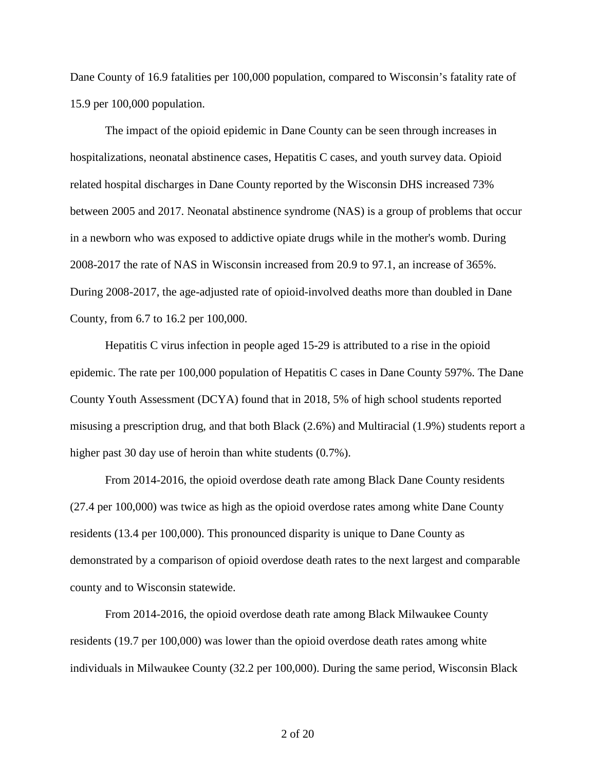Dane County of 16.9 fatalities per 100,000 population, compared to Wisconsin's fatality rate of 15.9 per 100,000 population.

The impact of the opioid epidemic in Dane County can be seen through increases in hospitalizations, neonatal abstinence cases, Hepatitis C cases, and youth survey data. Opioid related hospital discharges in Dane County reported by the Wisconsin DHS increased 73% between 2005 and 2017. Neonatal abstinence syndrome (NAS) is a group of problems that occur in a newborn who was exposed to addictive opiate drugs while in the mother's womb. During 2008-2017 the rate of NAS in Wisconsin increased from 20.9 to 97.1, an increase of 365%. During 2008-2017, the age-adjusted rate of opioid-involved deaths more than doubled in Dane County, from 6.7 to 16.2 per 100,000.

Hepatitis C virus infection in people aged 15-29 is attributed to a rise in the opioid epidemic. The rate per 100,000 population of Hepatitis C cases in Dane County 597%. The Dane County Youth Assessment (DCYA) found that in 2018, 5% of high school students reported misusing a prescription drug, and that both Black (2.6%) and Multiracial (1.9%) students report a higher past 30 day use of heroin than white students  $(0.7\%)$ .

From 2014-2016, the opioid overdose death rate among Black Dane County residents (27.4 per 100,000) was twice as high as the opioid overdose rates among white Dane County residents (13.4 per 100,000). This pronounced disparity is unique to Dane County as demonstrated by a comparison of opioid overdose death rates to the next largest and comparable county and to Wisconsin statewide.

From 2014-2016, the opioid overdose death rate among Black Milwaukee County residents (19.7 per 100,000) was lower than the opioid overdose death rates among white individuals in Milwaukee County (32.2 per 100,000). During the same period, Wisconsin Black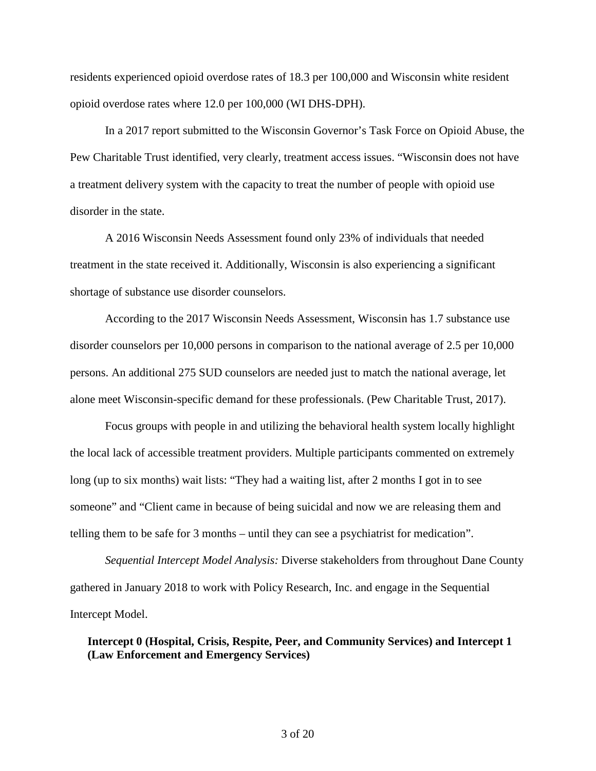residents experienced opioid overdose rates of 18.3 per 100,000 and Wisconsin white resident opioid overdose rates where 12.0 per 100,000 (WI DHS-DPH).

In a 2017 report submitted to the Wisconsin Governor's Task Force on Opioid Abuse, the Pew Charitable Trust identified, very clearly, treatment access issues. "Wisconsin does not have a treatment delivery system with the capacity to treat the number of people with opioid use disorder in the state.

A 2016 Wisconsin Needs Assessment found only 23% of individuals that needed treatment in the state received it. Additionally, Wisconsin is also experiencing a significant shortage of substance use disorder counselors.

According to the 2017 Wisconsin Needs Assessment, Wisconsin has 1.7 substance use disorder counselors per 10,000 persons in comparison to the national average of 2.5 per 10,000 persons. An additional 275 SUD counselors are needed just to match the national average, let alone meet Wisconsin-specific demand for these professionals. (Pew Charitable Trust, 2017).

Focus groups with people in and utilizing the behavioral health system locally highlight the local lack of accessible treatment providers. Multiple participants commented on extremely long (up to six months) wait lists: "They had a waiting list, after 2 months I got in to see someone" and "Client came in because of being suicidal and now we are releasing them and telling them to be safe for 3 months – until they can see a psychiatrist for medication".

*Sequential Intercept Model Analysis:* Diverse stakeholders from throughout Dane County gathered in January 2018 to work with Policy Research, Inc. and engage in the Sequential Intercept Model.

**Intercept 0 (Hospital, Crisis, Respite, Peer, and Community Services) and Intercept 1 (Law Enforcement and Emergency Services)**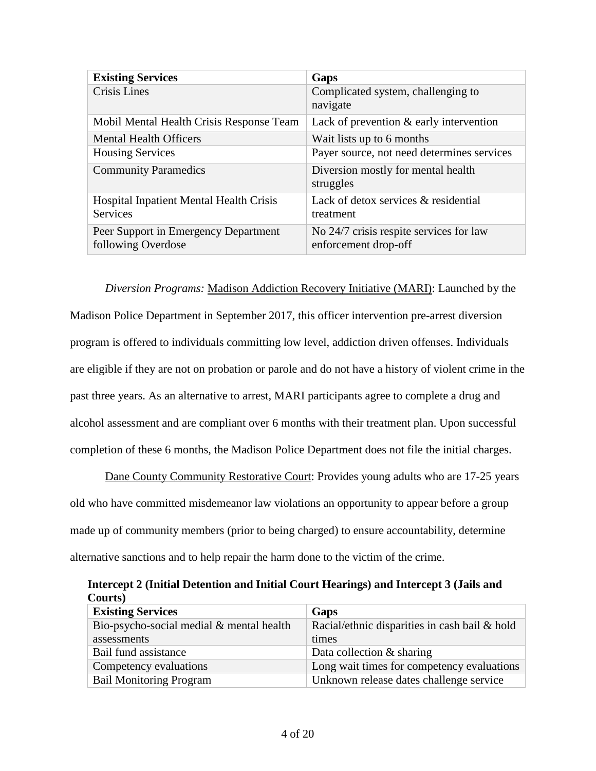| <b>Existing Services</b>                 | Gaps                                       |
|------------------------------------------|--------------------------------------------|
| Crisis Lines                             | Complicated system, challenging to         |
|                                          | navigate                                   |
| Mobil Mental Health Crisis Response Team | Lack of prevention $\&$ early intervention |
| <b>Mental Health Officers</b>            | Wait lists up to 6 months                  |
| <b>Housing Services</b>                  | Payer source, not need determines services |
| <b>Community Paramedics</b>              | Diversion mostly for mental health         |
|                                          | struggles                                  |
| Hospital Inpatient Mental Health Crisis  | Lack of detox services & residential       |
| <b>Services</b>                          | treatment                                  |
| Peer Support in Emergency Department     | No 24/7 crisis respite services for law    |
| following Overdose                       | enforcement drop-off                       |

*Diversion Programs:* Madison Addiction Recovery Initiative (MARI): Launched by the Madison Police Department in September 2017, this officer intervention pre-arrest diversion program is offered to individuals committing low level, addiction driven offenses. Individuals are eligible if they are not on probation or parole and do not have a history of violent crime in the past three years. As an alternative to arrest, MARI participants agree to complete a drug and alcohol assessment and are compliant over 6 months with their treatment plan. Upon successful completion of these 6 months, the Madison Police Department does not file the initial charges.

Dane County Community Restorative Court: Provides young adults who are 17-25 years old who have committed misdemeanor law violations an opportunity to appear before a group made up of community members (prior to being charged) to ensure accountability, determine alternative sanctions and to help repair the harm done to the victim of the crime.

**Intercept 2 (Initial Detention and Initial Court Hearings) and Intercept 3 (Jails and Courts)**

| <b>Existing Services</b>                 | Gaps                                             |
|------------------------------------------|--------------------------------------------------|
| Bio-psycho-social medial & mental health | Racial/ethnic disparities in cash bail $\&$ hold |
| assessments                              | times                                            |
| Bail fund assistance                     | Data collection $&$ sharing                      |
| Competency evaluations                   | Long wait times for competency evaluations       |
| <b>Bail Monitoring Program</b>           | Unknown release dates challenge service          |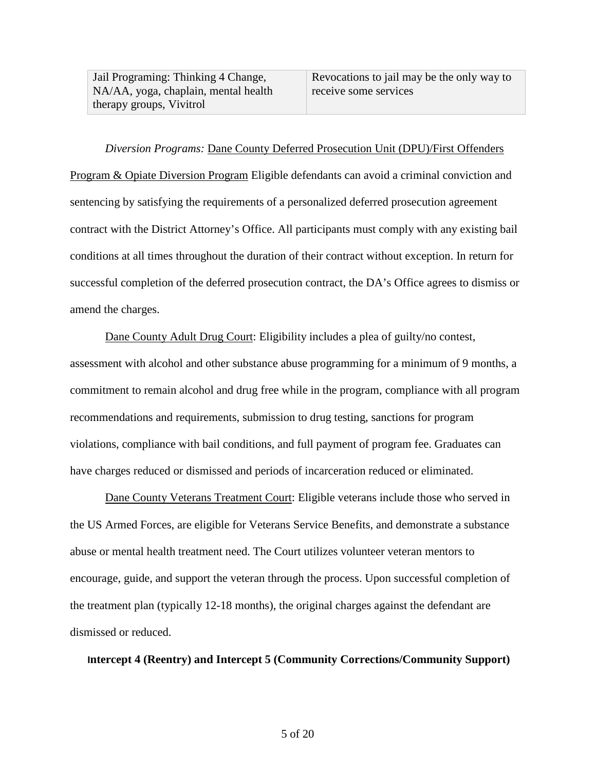Jail Programing: Thinking 4 Change, NA/AA, yoga, chaplain, mental health therapy groups, Vivitrol

# *Diversion Programs:* Dane County Deferred Prosecution Unit (DPU)/First Offenders

Program & Opiate Diversion Program Eligible defendants can avoid a criminal conviction and sentencing by satisfying the requirements of a personalized deferred prosecution agreement contract with the District Attorney's Office. All participants must comply with any existing bail conditions at all times throughout the duration of their contract without exception. In return for successful completion of the deferred prosecution contract, the DA's Office agrees to dismiss or amend the charges.

Dane County Adult Drug Court: Eligibility includes a plea of guilty/no contest, assessment with alcohol and other substance abuse programming for a minimum of 9 months, a commitment to remain alcohol and drug free while in the program, compliance with all program recommendations and requirements, submission to drug testing, sanctions for program violations, compliance with bail conditions, and full payment of program fee. Graduates can have charges reduced or dismissed and periods of incarceration reduced or eliminated.

Dane County Veterans Treatment Court: Eligible veterans include those who served in the US Armed Forces, are eligible for Veterans Service Benefits, and demonstrate a substance abuse or mental health treatment need. The Court utilizes volunteer veteran mentors to encourage, guide, and support the veteran through the process. Upon successful completion of the treatment plan (typically 12-18 months), the original charges against the defendant are dismissed or reduced.

#### **Intercept 4 (Reentry) and Intercept 5 (Community Corrections/Community Support)**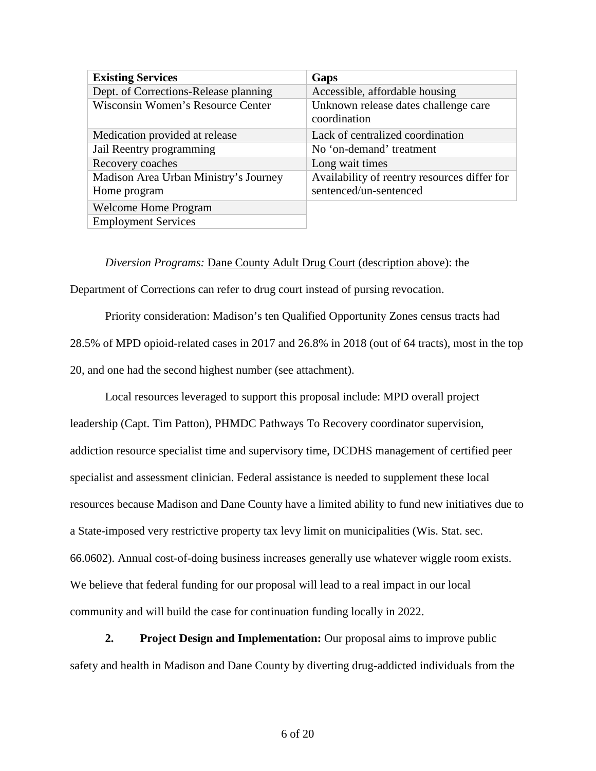| <b>Existing Services</b>              | Gaps                                                 |
|---------------------------------------|------------------------------------------------------|
| Dept. of Corrections-Release planning | Accessible, affordable housing                       |
| Wisconsin Women's Resource Center     | Unknown release dates challenge care<br>coordination |
|                                       |                                                      |
| Medication provided at release        | Lack of centralized coordination                     |
| Jail Reentry programming              | No 'on-demand' treatment                             |
| Recovery coaches                      | Long wait times                                      |
| Madison Area Urban Ministry's Journey | Availability of reentry resources differ for         |
| Home program                          | sentenced/un-sentenced                               |
| <b>Welcome Home Program</b>           |                                                      |
| <b>Employment Services</b>            |                                                      |

*Diversion Programs:* Dane County Adult Drug Court (description above): the

Department of Corrections can refer to drug court instead of pursing revocation.

Priority consideration: Madison's ten Qualified Opportunity Zones census tracts had 28.5% of MPD opioid-related cases in 2017 and 26.8% in 2018 (out of 64 tracts), most in the top 20, and one had the second highest number (see attachment).

Local resources leveraged to support this proposal include: MPD overall project leadership (Capt. Tim Patton), PHMDC Pathways To Recovery coordinator supervision, addiction resource specialist time and supervisory time, DCDHS management of certified peer specialist and assessment clinician. Federal assistance is needed to supplement these local resources because Madison and Dane County have a limited ability to fund new initiatives due to a State-imposed very restrictive property tax levy limit on municipalities (Wis. Stat. sec. 66.0602). Annual cost-of-doing business increases generally use whatever wiggle room exists. We believe that federal funding for our proposal will lead to a real impact in our local community and will build the case for continuation funding locally in 2022.

**2. Project Design and Implementation:** Our proposal aims to improve public safety and health in Madison and Dane County by diverting drug-addicted individuals from the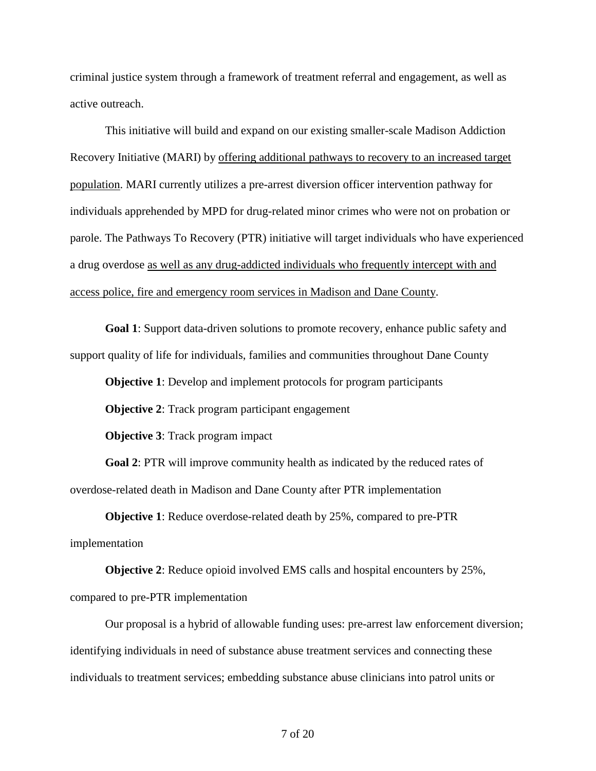criminal justice system through a framework of treatment referral and engagement, as well as active outreach.

This initiative will build and expand on our existing smaller-scale Madison Addiction Recovery Initiative (MARI) by offering additional pathways to recovery to an increased target population. MARI currently utilizes a pre-arrest diversion officer intervention pathway for individuals apprehended by MPD for drug-related minor crimes who were not on probation or parole. The Pathways To Recovery (PTR) initiative will target individuals who have experienced a drug overdose as well as any drug-addicted individuals who frequently intercept with and access police, fire and emergency room services in Madison and Dane County.

**Goal 1**: Support data-driven solutions to promote recovery, enhance public safety and support quality of life for individuals, families and communities throughout Dane County

**Objective 1**: Develop and implement protocols for program participants

**Objective 2:** Track program participant engagement

**Objective 3**: Track program impact

**Goal 2**: PTR will improve community health as indicated by the reduced rates of overdose-related death in Madison and Dane County after PTR implementation

**Objective 1**: Reduce overdose-related death by 25%, compared to pre-PTR implementation

**Objective 2**: Reduce opioid involved EMS calls and hospital encounters by 25%, compared to pre-PTR implementation

Our proposal is a hybrid of allowable funding uses: pre-arrest law enforcement diversion; identifying individuals in need of substance abuse treatment services and connecting these individuals to treatment services; embedding substance abuse clinicians into patrol units or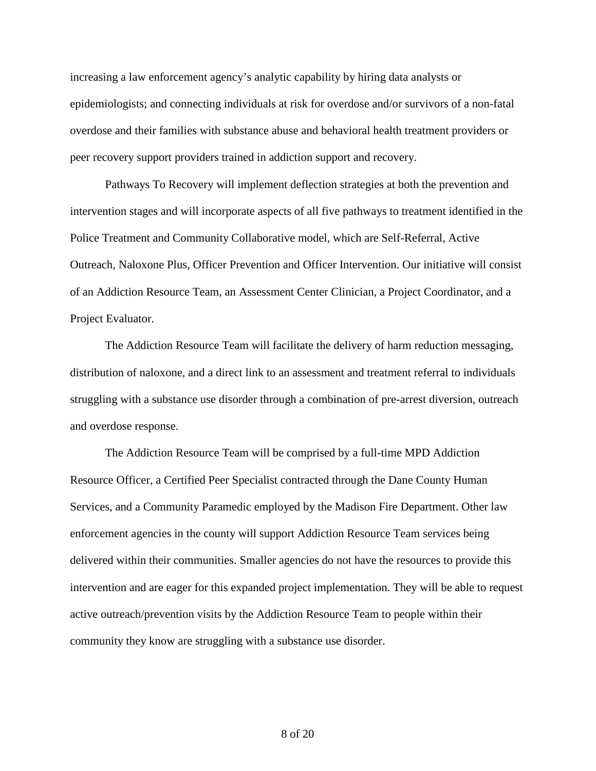increasing a law enforcement agency's analytic capability by hiring data analysts or epidemiologists; and connecting individuals at risk for overdose and/or survivors of a non-fatal overdose and their families with substance abuse and behavioral health treatment providers or peer recovery support providers trained in addiction support and recovery.

Pathways To Recovery will implement deflection strategies at both the prevention and intervention stages and will incorporate aspects of all five pathways to treatment identified in the Police Treatment and Community Collaborative model, which are Self-Referral, Active Outreach, Naloxone Plus, Officer Prevention and Officer Intervention. Our initiative will consist of an Addiction Resource Team, an Assessment Center Clinician, a Project Coordinator, and a Project Evaluator.

The Addiction Resource Team will facilitate the delivery of harm reduction messaging, distribution of naloxone, and a direct link to an assessment and treatment referral to individuals struggling with a substance use disorder through a combination of pre-arrest diversion, outreach and overdose response.

The Addiction Resource Team will be comprised by a full-time MPD Addiction Resource Officer, a Certified Peer Specialist contracted through the Dane County Human Services, and a Community Paramedic employed by the Madison Fire Department. Other law enforcement agencies in the county will support Addiction Resource Team services being delivered within their communities. Smaller agencies do not have the resources to provide this intervention and are eager for this expanded project implementation. They will be able to request active outreach/prevention visits by the Addiction Resource Team to people within their community they know are struggling with a substance use disorder.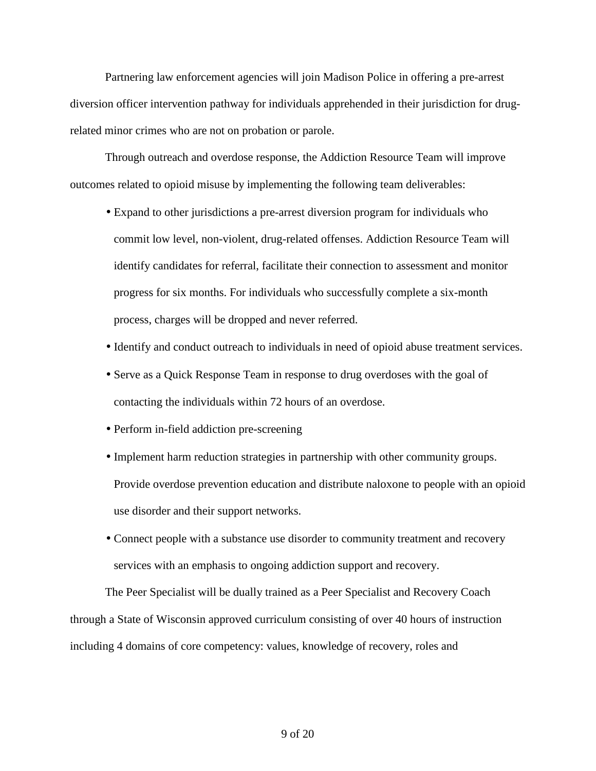Partnering law enforcement agencies will join Madison Police in offering a pre-arrest diversion officer intervention pathway for individuals apprehended in their jurisdiction for drugrelated minor crimes who are not on probation or parole.

Through outreach and overdose response, the Addiction Resource Team will improve outcomes related to opioid misuse by implementing the following team deliverables:

- Expand to other jurisdictions a pre-arrest diversion program for individuals who commit low level, non-violent, drug-related offenses. Addiction Resource Team will identify candidates for referral, facilitate their connection to assessment and monitor progress for six months. For individuals who successfully complete a six-month process, charges will be dropped and never referred.
- Identify and conduct outreach to individuals in need of opioid abuse treatment services.
- Serve as a Quick Response Team in response to drug overdoses with the goal of contacting the individuals within 72 hours of an overdose.
- Perform in-field addiction pre-screening
- Implement harm reduction strategies in partnership with other community groups. Provide overdose prevention education and distribute naloxone to people with an opioid use disorder and their support networks.
- Connect people with a substance use disorder to community treatment and recovery services with an emphasis to ongoing addiction support and recovery.

The Peer Specialist will be dually trained as a Peer Specialist and Recovery Coach through a State of Wisconsin approved curriculum consisting of over 40 hours of instruction including 4 domains of core competency: values, knowledge of recovery, roles and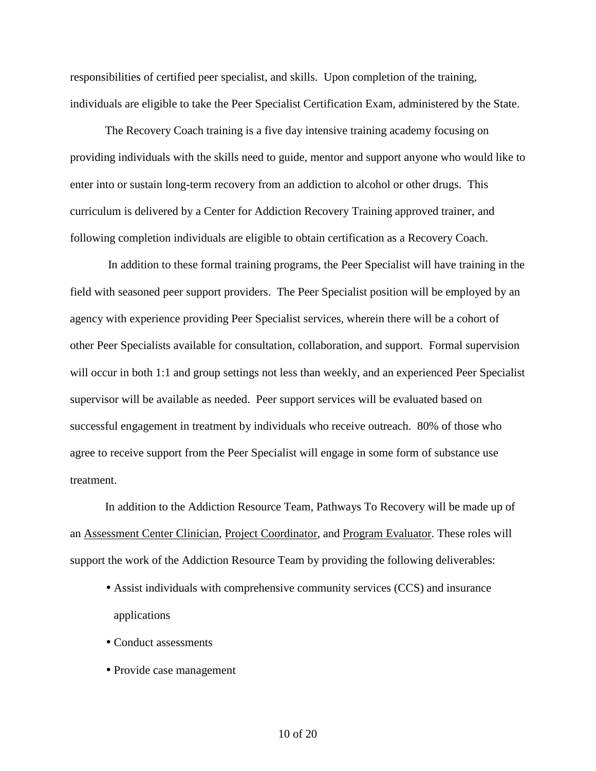responsibilities of certified peer specialist, and skills. Upon completion of the training, individuals are eligible to take the Peer Specialist Certification Exam, administered by the State.

The Recovery Coach training is a five day intensive training academy focusing on providing individuals with the skills need to guide, mentor and support anyone who would like to enter into or sustain long-term recovery from an addiction to alcohol or other drugs. This curriculum is delivered by a Center for Addiction Recovery Training approved trainer, and following completion individuals are eligible to obtain certification as a Recovery Coach.

In addition to these formal training programs, the Peer Specialist will have training in the field with seasoned peer support providers. The Peer Specialist position will be employed by an agency with experience providing Peer Specialist services, wherein there will be a cohort of other Peer Specialists available for consultation, collaboration, and support. Formal supervision will occur in both 1:1 and group settings not less than weekly, and an experienced Peer Specialist supervisor will be available as needed. Peer support services will be evaluated based on successful engagement in treatment by individuals who receive outreach. 80% of those who agree to receive support from the Peer Specialist will engage in some form of substance use treatment.

In addition to the Addiction Resource Team, Pathways To Recovery will be made up of an Assessment Center Clinician, Project Coordinator, and Program Evaluator. These roles will support the work of the Addiction Resource Team by providing the following deliverables:

- Assist individuals with comprehensive community services (CCS) and insurance applications
- Conduct assessments
- Provide case management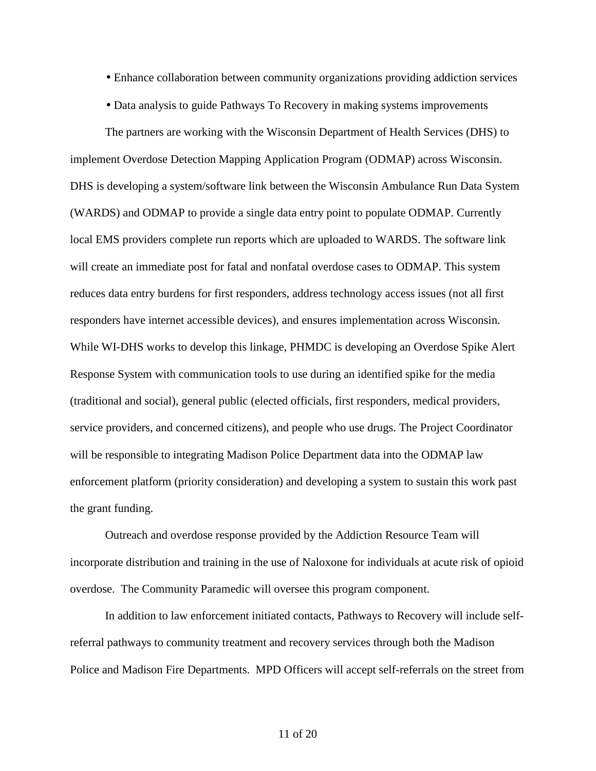- Enhance collaboration between community organizations providing addiction services
- Data analysis to guide Pathways To Recovery in making systems improvements

The partners are working with the Wisconsin Department of Health Services (DHS) to implement Overdose Detection Mapping Application Program (ODMAP) across Wisconsin. DHS is developing a system/software link between the Wisconsin Ambulance Run Data System (WARDS) and ODMAP to provide a single data entry point to populate ODMAP. Currently local EMS providers complete run reports which are uploaded to WARDS. The software link will create an immediate post for fatal and nonfatal overdose cases to ODMAP. This system reduces data entry burdens for first responders, address technology access issues (not all first responders have internet accessible devices), and ensures implementation across Wisconsin. While WI-DHS works to develop this linkage, PHMDC is developing an Overdose Spike Alert Response System with communication tools to use during an identified spike for the media (traditional and social), general public (elected officials, first responders, medical providers, service providers, and concerned citizens), and people who use drugs. The Project Coordinator will be responsible to integrating Madison Police Department data into the ODMAP law enforcement platform (priority consideration) and developing a system to sustain this work past the grant funding.

Outreach and overdose response provided by the Addiction Resource Team will incorporate distribution and training in the use of Naloxone for individuals at acute risk of opioid overdose. The Community Paramedic will oversee this program component.

In addition to law enforcement initiated contacts, Pathways to Recovery will include selfreferral pathways to community treatment and recovery services through both the Madison Police and Madison Fire Departments. MPD Officers will accept self-referrals on the street from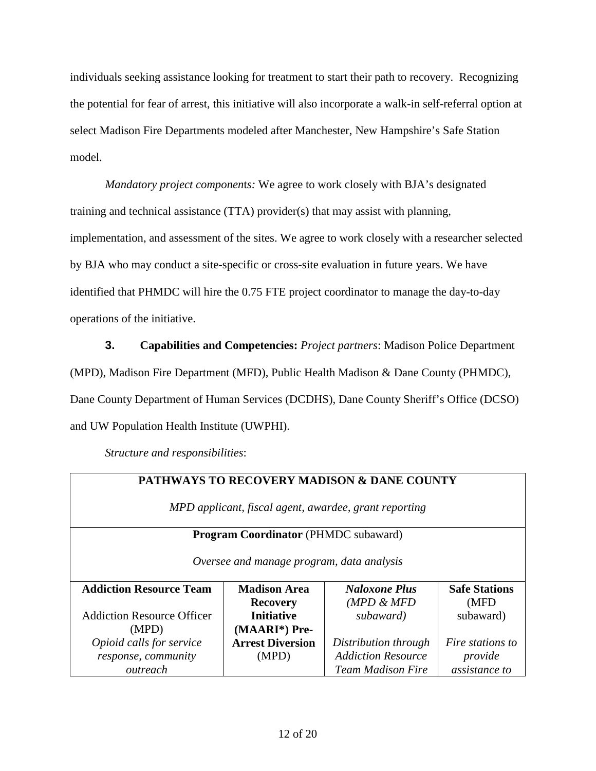individuals seeking assistance looking for treatment to start their path to recovery. Recognizing the potential for fear of arrest, this initiative will also incorporate a walk-in self-referral option at select Madison Fire Departments modeled after Manchester, New Hampshire's Safe Station model.

*Mandatory project componen*t*s:* We agree to work closely with BJA's designated training and technical assistance (TTA) provider(s) that may assist with planning, implementation, and assessment of the sites. We agree to work closely with a researcher selected by BJA who may conduct a site-specific or cross-site evaluation in future years. We have identified that PHMDC will hire the 0.75 FTE project coordinator to manage the day-to-day operations of the initiative.

**3. Capabilities and Competencies:** *Project partners*: Madison Police Department (MPD), Madison Fire Department (MFD), Public Health Madison & Dane County (PHMDC), Dane County Department of Human Services (DCDHS), Dane County Sheriff's Office (DCSO) and UW Population Health Institute (UWPHI).

*Structure and responsibilities*:

# **PATHWAYS TO RECOVERY MADISON & DANE COUNTY**

*MPD applicant, fiscal agent, awardee, grant reporting*

#### **Program Coordinator** (PHMDC subaward)

*Oversee and manage program, data analysis*

| <b>Addiction Resource Team</b><br><b>Madison Area</b> |                         | <b>Naloxone Plus</b>      | <b>Safe Stations</b> |
|-------------------------------------------------------|-------------------------|---------------------------|----------------------|
|                                                       | <b>Recovery</b>         | $(MPD \& MFD)$            | (MFD)                |
| <b>Addiction Resource Officer</b>                     | <b>Initiative</b>       | subaward)                 | subaward)            |
| (MPD)                                                 | (MAARI*) Pre-           |                           |                      |
| Opioid calls for service                              | <b>Arrest Diversion</b> | Distribution through      | Fire stations to     |
| response, community                                   | (MPD)                   | <b>Addiction Resource</b> | provide              |
| outreach                                              |                         | <b>Team Madison Fire</b>  | assistance to        |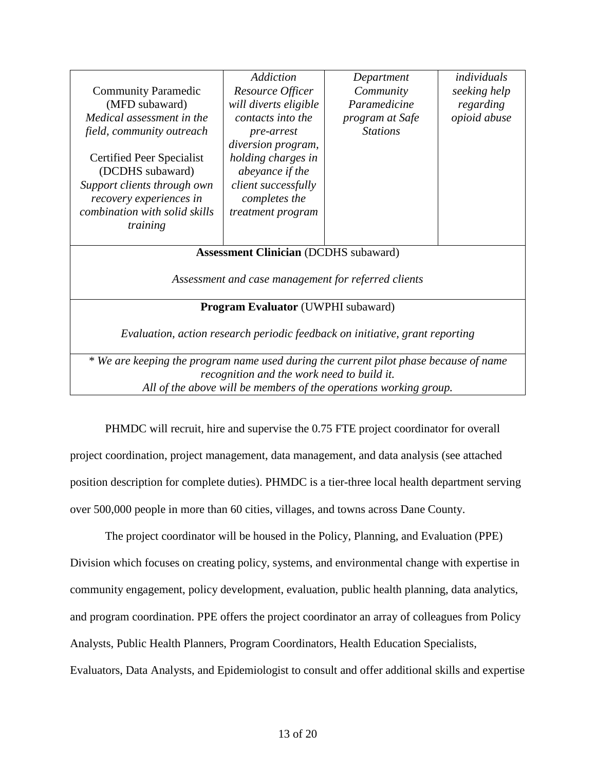|                                                                                       | Addiction                                  | Department      | individuals  |  |
|---------------------------------------------------------------------------------------|--------------------------------------------|-----------------|--------------|--|
| <b>Community Paramedic</b>                                                            | Resource Officer                           | Community       | seeking help |  |
| (MFD subaward)                                                                        | Paramedicine<br>will diverts eligible      |                 | regarding    |  |
| Medical assessment in the                                                             | contacts into the                          | program at Safe | opioid abuse |  |
| field, community outreach                                                             | pre-arrest                                 | <b>Stations</b> |              |  |
|                                                                                       | diversion program,                         |                 |              |  |
| Certified Peer Specialist                                                             | holding charges in                         |                 |              |  |
| (DCDHS subaward)                                                                      | abeyance if the                            |                 |              |  |
| Support clients through own                                                           | client successfully                        |                 |              |  |
| recovery experiences in                                                               | completes the                              |                 |              |  |
| combination with solid skills                                                         | treatment program                          |                 |              |  |
| training                                                                              |                                            |                 |              |  |
|                                                                                       |                                            |                 |              |  |
| <b>Assessment Clinician (DCDHS subaward)</b>                                          |                                            |                 |              |  |
|                                                                                       |                                            |                 |              |  |
| Assessment and case management for referred clients                                   |                                            |                 |              |  |
|                                                                                       |                                            |                 |              |  |
| <b>Program Evaluator</b> (UWPHI subaward)                                             |                                            |                 |              |  |
|                                                                                       |                                            |                 |              |  |
| Evaluation, action research periodic feedback on initiative, grant reporting          |                                            |                 |              |  |
|                                                                                       |                                            |                 |              |  |
| * We are keeping the program name used during the current pilot phase because of name |                                            |                 |              |  |
|                                                                                       | recognition and the work need to build it. |                 |              |  |
| All of the above will be members of the operations working group.                     |                                            |                 |              |  |

PHMDC will recruit, hire and supervise the 0.75 FTE project coordinator for overall project coordination, project management, data management, and data analysis (see attached position description for complete duties). PHMDC is a tier-three local health department serving over 500,000 people in more than 60 cities, villages, and towns across Dane County.

The project coordinator will be housed in the Policy, Planning, and Evaluation (PPE) Division which focuses on creating policy, systems, and environmental change with expertise in community engagement, policy development, evaluation, public health planning, data analytics, and program coordination. PPE offers the project coordinator an array of colleagues from Policy Analysts, Public Health Planners, Program Coordinators, Health Education Specialists, Evaluators, Data Analysts, and Epidemiologist to consult and offer additional skills and expertise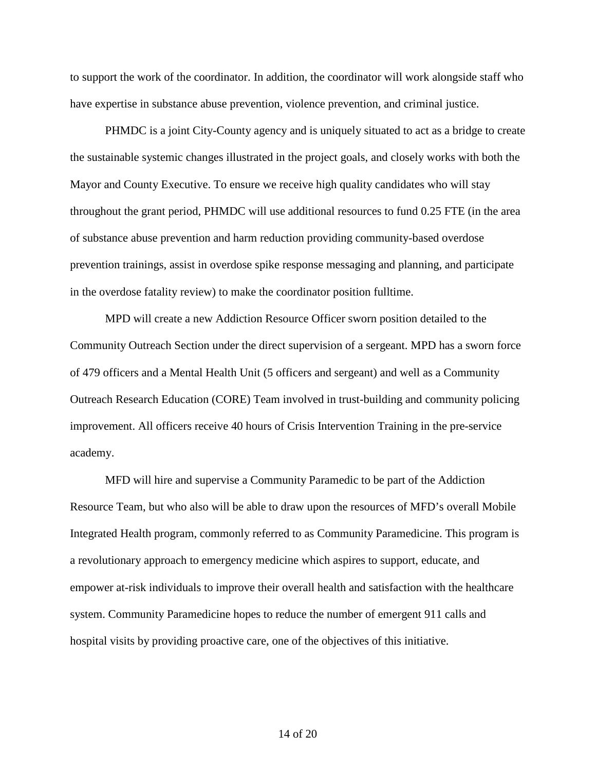to support the work of the coordinator. In addition, the coordinator will work alongside staff who have expertise in substance abuse prevention, violence prevention, and criminal justice.

PHMDC is a joint City-County agency and is uniquely situated to act as a bridge to create the sustainable systemic changes illustrated in the project goals, and closely works with both the Mayor and County Executive. To ensure we receive high quality candidates who will stay throughout the grant period, PHMDC will use additional resources to fund 0.25 FTE (in the area of substance abuse prevention and harm reduction providing community-based overdose prevention trainings, assist in overdose spike response messaging and planning, and participate in the overdose fatality review) to make the coordinator position fulltime.

MPD will create a new Addiction Resource Officer sworn position detailed to the Community Outreach Section under the direct supervision of a sergeant. MPD has a sworn force of 479 officers and a Mental Health Unit (5 officers and sergeant) and well as a Community Outreach Research Education (CORE) Team involved in trust-building and community policing improvement. All officers receive 40 hours of Crisis Intervention Training in the pre-service academy.

MFD will hire and supervise a Community Paramedic to be part of the Addiction Resource Team, but who also will be able to draw upon the resources of MFD's overall Mobile Integrated Health program, commonly referred to as Community Paramedicine. This program is a revolutionary approach to emergency medicine which aspires to support, educate, and empower at-risk individuals to improve their overall health and satisfaction with the healthcare system. Community Paramedicine hopes to reduce the number of emergent 911 calls and hospital visits by providing proactive care, one of the objectives of this initiative.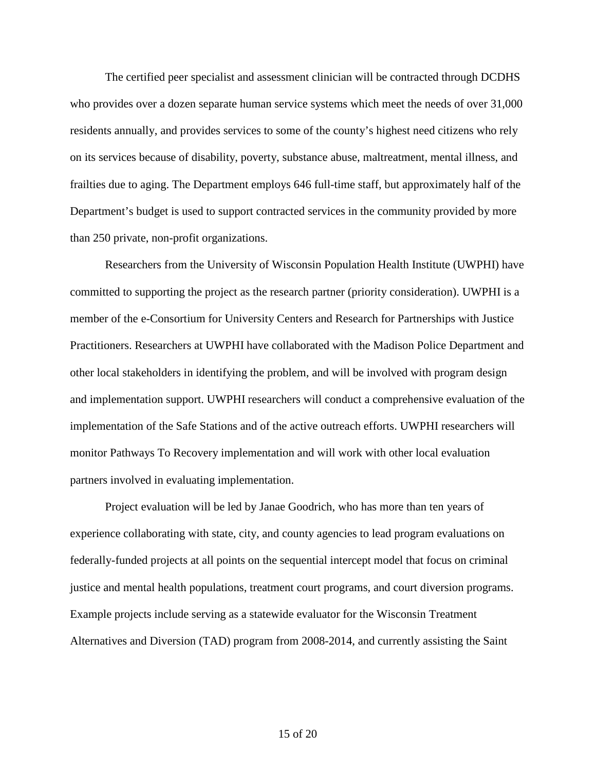The certified peer specialist and assessment clinician will be contracted through DCDHS who provides over a dozen separate human service systems which meet the needs of over 31,000 residents annually, and provides services to some of the county's highest need citizens who rely on its services because of disability, poverty, substance abuse, maltreatment, mental illness, and frailties due to aging. The Department employs 646 full-time staff, but approximately half of the Department's budget is used to support contracted services in the community provided by more than 250 private, non-profit organizations.

Researchers from the University of Wisconsin Population Health Institute (UWPHI) have committed to supporting the project as the research partner (priority consideration). UWPHI is a member of the e-Consortium for University Centers and Research for Partnerships with Justice Practitioners. Researchers at UWPHI have collaborated with the Madison Police Department and other local stakeholders in identifying the problem, and will be involved with program design and implementation support. UWPHI researchers will conduct a comprehensive evaluation of the implementation of the Safe Stations and of the active outreach efforts. UWPHI researchers will monitor Pathways To Recovery implementation and will work with other local evaluation partners involved in evaluating implementation.

Project evaluation will be led by Janae Goodrich, who has more than ten years of experience collaborating with state, city, and county agencies to lead program evaluations on federally-funded projects at all points on the sequential intercept model that focus on criminal justice and mental health populations, treatment court programs, and court diversion programs. Example projects include serving as a statewide evaluator for the Wisconsin Treatment Alternatives and Diversion (TAD) program from 2008-2014, and currently assisting the Saint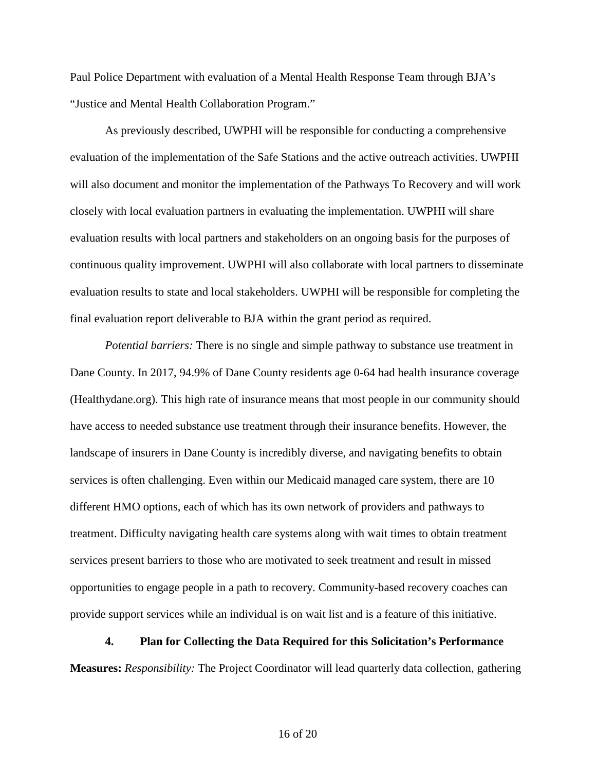Paul Police Department with evaluation of a Mental Health Response Team through BJA's "Justice and Mental Health Collaboration Program."

As previously described, UWPHI will be responsible for conducting a comprehensive evaluation of the implementation of the Safe Stations and the active outreach activities. UWPHI will also document and monitor the implementation of the Pathways To Recovery and will work closely with local evaluation partners in evaluating the implementation. UWPHI will share evaluation results with local partners and stakeholders on an ongoing basis for the purposes of continuous quality improvement. UWPHI will also collaborate with local partners to disseminate evaluation results to state and local stakeholders. UWPHI will be responsible for completing the final evaluation report deliverable to BJA within the grant period as required.

*Potential barriers:* There is no single and simple pathway to substance use treatment in Dane County. In 2017, 94.9% of Dane County residents age 0-64 had health insurance coverage (Healthydane.org). This high rate of insurance means that most people in our community should have access to needed substance use treatment through their insurance benefits. However, the landscape of insurers in Dane County is incredibly diverse, and navigating benefits to obtain services is often challenging. Even within our Medicaid managed care system, there are 10 different HMO options, each of which has its own network of providers and pathways to treatment. Difficulty navigating health care systems along with wait times to obtain treatment services present barriers to those who are motivated to seek treatment and result in missed opportunities to engage people in a path to recovery. Community-based recovery coaches can provide support services while an individual is on wait list and is a feature of this initiative.

#### **4. Plan for Collecting the Data Required for this Solicitation's Performance**

**Measures:** *Responsibility:* The Project Coordinator will lead quarterly data collection, gathering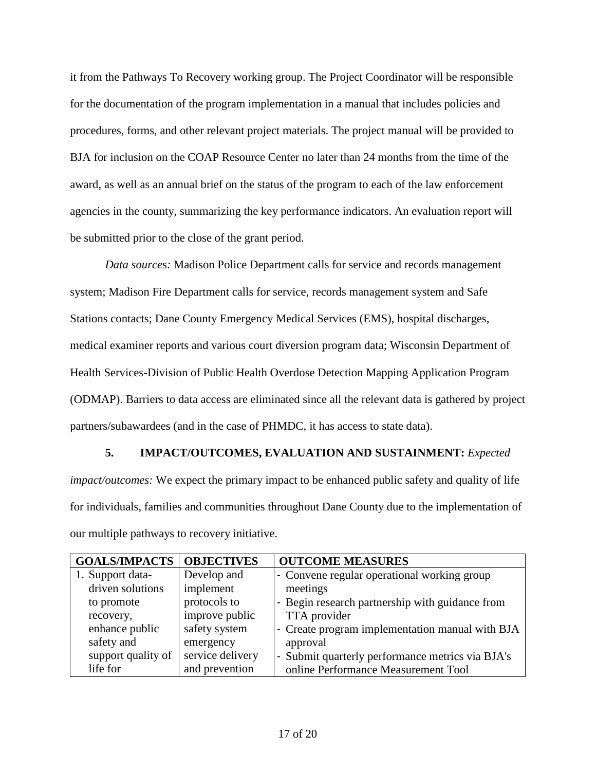it from the Pathways To Recovery working group. The Project Coordinator will be responsible for the documentation of the program implementation in a manual that includes policies and procedures, forms, and other relevant project materials. The project manual will be provided to BJA for inclusion on the COAP Resource Center no later than 24 months from the time of the award, as well as an annual brief on the status of the program to each of the law enforcement agencies in the county, summarizing the key performance indicators. An evaluation report will be submitted prior to the close of the grant period.

*Data source*s*:* Madison Police Department calls for service and records management system; Madison Fire Department calls for service, records management system and Safe Stations contacts; Dane County Emergency Medical Services (EMS), hospital discharges, medical examiner reports and various court diversion program data; Wisconsin Department of Health Services-Division of Public Health Overdose Detection Mapping Application Program (ODMAP). Barriers to data access are eliminated since all the relevant data is gathered by project partners/subawardees (and in the case of PHMDC, it has access to state data).

#### **5. IMPACT/OUTCOMES, EVALUATION AND SUSTAINMENT:** *Expected*

*impact/outcomes:* We expect the primary impact to be enhanced public safety and quality of life for individuals, families and communities throughout Dane County due to the implementation of our multiple pathways to recovery initiative.

| <b>GOALS/IMPACTS</b> | <b>OBJECTIVES</b> | <b>OUTCOME MEASURES</b>                          |
|----------------------|-------------------|--------------------------------------------------|
| 1. Support data-     | Develop and       | - Convene regular operational working group      |
| driven solutions     | implement         | meetings                                         |
| to promote           | protocols to      | - Begin research partnership with guidance from  |
| recovery,            | improve public    | TTA provider                                     |
| enhance public       | safety system     | - Create program implementation manual with BJA  |
| safety and           | emergency         | approval                                         |
| support quality of   | service delivery  | - Submit quarterly performance metrics via BJA's |
| life for             | and prevention    | online Performance Measurement Tool              |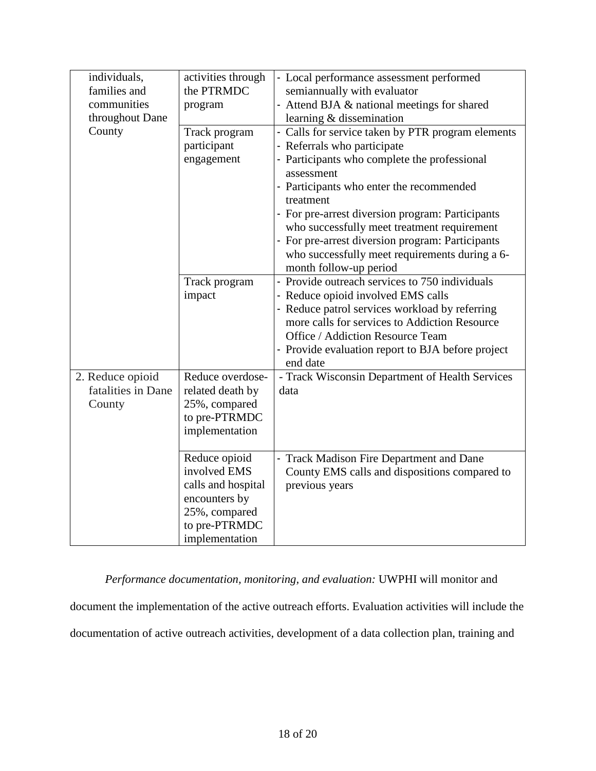| individuals,       | activities through | - Local performance assessment performed          |
|--------------------|--------------------|---------------------------------------------------|
| families and       | the PTRMDC         | semiannually with evaluator                       |
| communities        | program            | - Attend BJA & national meetings for shared       |
| throughout Dane    |                    | learning & dissemination                          |
| County             | Track program      | - Calls for service taken by PTR program elements |
|                    | participant        | - Referrals who participate                       |
|                    | engagement         | - Participants who complete the professional      |
|                    |                    | assessment                                        |
|                    |                    | - Participants who enter the recommended          |
|                    |                    | treatment                                         |
|                    |                    | - For pre-arrest diversion program: Participants  |
|                    |                    | who successfully meet treatment requirement       |
|                    |                    | - For pre-arrest diversion program: Participants  |
|                    |                    | who successfully meet requirements during a 6-    |
|                    |                    | month follow-up period                            |
|                    | Track program      | - Provide outreach services to 750 individuals    |
|                    | impact             | - Reduce opioid involved EMS calls                |
|                    |                    | - Reduce patrol services workload by referring    |
|                    |                    | more calls for services to Addiction Resource     |
|                    |                    | Office / Addiction Resource Team                  |
|                    |                    | - Provide evaluation report to BJA before project |
|                    |                    | end date                                          |
| 2. Reduce opioid   | Reduce overdose-   | - Track Wisconsin Department of Health Services   |
| fatalities in Dane | related death by   | data                                              |
| County             | 25%, compared      |                                                   |
|                    | to pre-PTRMDC      |                                                   |
|                    | implementation     |                                                   |
|                    |                    |                                                   |
|                    | Reduce opioid      | - Track Madison Fire Department and Dane          |
|                    | involved EMS       | County EMS calls and dispositions compared to     |
|                    | calls and hospital | previous years                                    |
|                    | encounters by      |                                                   |
|                    | 25%, compared      |                                                   |
|                    | to pre-PTRMDC      |                                                   |
|                    | implementation     |                                                   |

*Performance documentation, monitoring, and evaluation:* UWPHI will monitor and

document the implementation of the active outreach efforts. Evaluation activities will include the

documentation of active outreach activities, development of a data collection plan, training and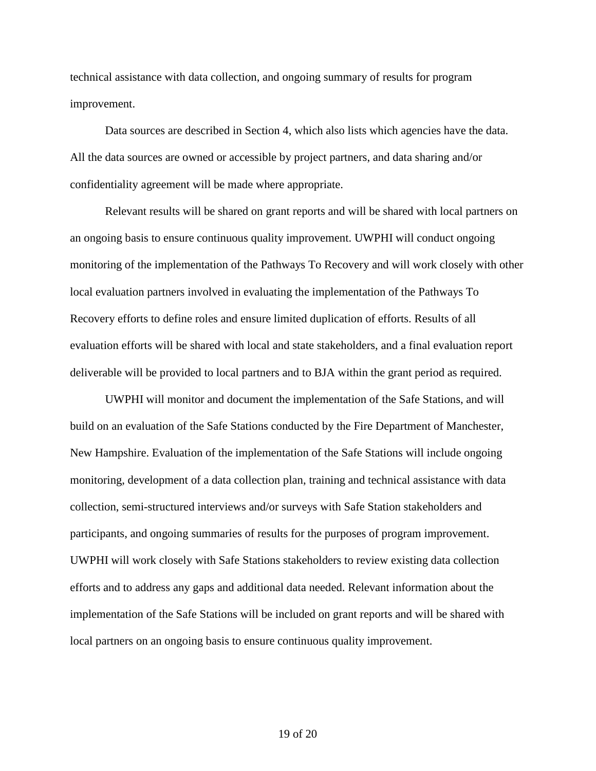technical assistance with data collection, and ongoing summary of results for program improvement.

Data sources are described in Section 4, which also lists which agencies have the data. All the data sources are owned or accessible by project partners, and data sharing and/or confidentiality agreement will be made where appropriate.

Relevant results will be shared on grant reports and will be shared with local partners on an ongoing basis to ensure continuous quality improvement. UWPHI will conduct ongoing monitoring of the implementation of the Pathways To Recovery and will work closely with other local evaluation partners involved in evaluating the implementation of the Pathways To Recovery efforts to define roles and ensure limited duplication of efforts. Results of all evaluation efforts will be shared with local and state stakeholders, and a final evaluation report deliverable will be provided to local partners and to BJA within the grant period as required.

UWPHI will monitor and document the implementation of the Safe Stations, and will build on an evaluation of the Safe Stations conducted by the Fire Department of Manchester, New Hampshire. Evaluation of the implementation of the Safe Stations will include ongoing monitoring, development of a data collection plan, training and technical assistance with data collection, semi-structured interviews and/or surveys with Safe Station stakeholders and participants, and ongoing summaries of results for the purposes of program improvement. UWPHI will work closely with Safe Stations stakeholders to review existing data collection efforts and to address any gaps and additional data needed. Relevant information about the implementation of the Safe Stations will be included on grant reports and will be shared with local partners on an ongoing basis to ensure continuous quality improvement.